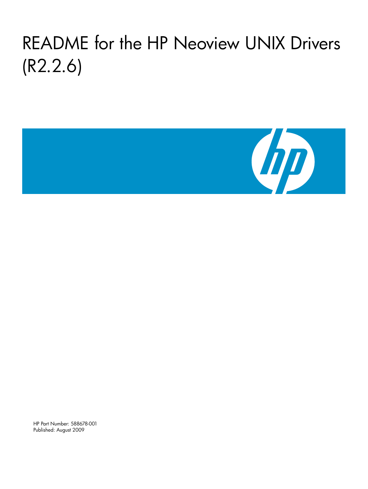# README for the HP Neoview UNIX Drivers (R2.2.6)



HP Part Number: 588678-001 Published: August 2009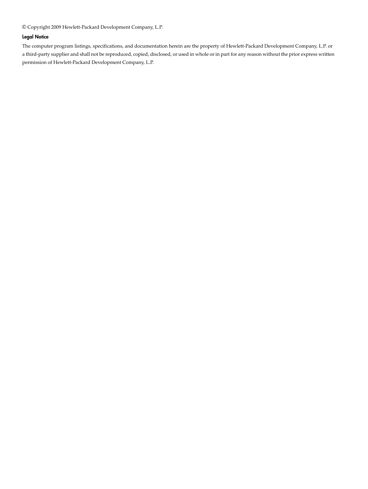© Copyright 2009 Hewlett-Packard Development Company, L.P.

#### Legal Notice

The computer program listings, specifications, and documentation herein are the property of Hewlett-Packard Development Company, L.P. or a third-party supplier and shall not be reproduced, copied, disclosed, or used in whole or in part for any reason without the prior express written permission of Hewlett-Packard Development Company, L.P.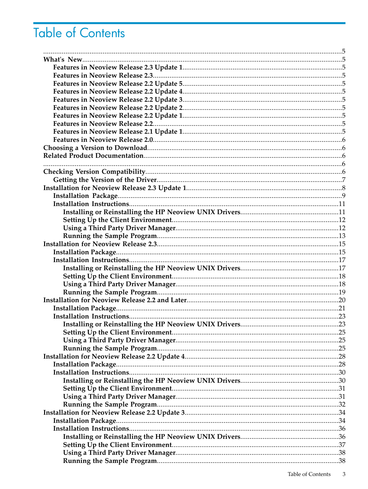# Table of Contents

| Installing or Reinstalling the HP Neoview UNIX Drivers. |  |
|---------------------------------------------------------|--|
|                                                         |  |
|                                                         |  |
|                                                         |  |
|                                                         |  |
|                                                         |  |
|                                                         |  |
|                                                         |  |
|                                                         |  |
|                                                         |  |
|                                                         |  |
|                                                         |  |
|                                                         |  |
|                                                         |  |
|                                                         |  |
|                                                         |  |
|                                                         |  |
|                                                         |  |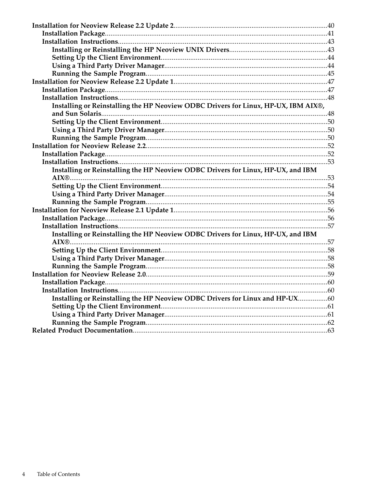| Installing or Reinstalling the HP Neoview ODBC Drivers for Linux, HP-UX, IBM AIX®, |  |
|------------------------------------------------------------------------------------|--|
|                                                                                    |  |
|                                                                                    |  |
|                                                                                    |  |
|                                                                                    |  |
|                                                                                    |  |
|                                                                                    |  |
|                                                                                    |  |
| Installing or Reinstalling the HP Neoview ODBC Drivers for Linux, HP-UX, and IBM   |  |
|                                                                                    |  |
|                                                                                    |  |
|                                                                                    |  |
|                                                                                    |  |
|                                                                                    |  |
|                                                                                    |  |
|                                                                                    |  |
| Installing or Reinstalling the HP Neoview ODBC Drivers for Linux, HP-UX, and IBM   |  |
|                                                                                    |  |
|                                                                                    |  |
|                                                                                    |  |
|                                                                                    |  |
|                                                                                    |  |
|                                                                                    |  |
|                                                                                    |  |
| Installing or Reinstalling the HP Neoview ODBC Drivers for Linux and HP-UX60       |  |
|                                                                                    |  |
|                                                                                    |  |
|                                                                                    |  |
|                                                                                    |  |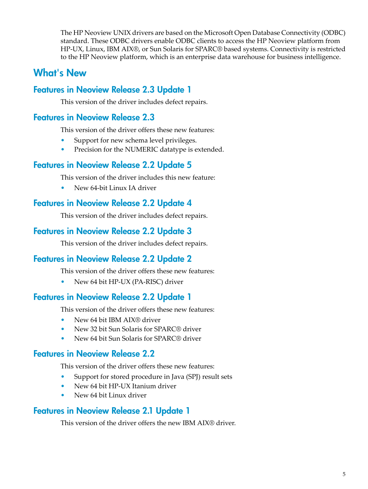<span id="page-4-0"></span>The HP Neoview UNIX drivers are based on the Microsoft Open Database Connectivity (ODBC) standard. These ODBC drivers enable ODBC clients to access the HP Neoview platform from HP-UX, Linux, IBM AIX®, or Sun Solaris for SPARC® based systems. Connectivity is restricted to the HP Neoview platform, which is an enterprise data warehouse for business intelligence.

# <span id="page-4-2"></span><span id="page-4-1"></span>What's New

# Features in Neoview Release 2.3 Update 1

<span id="page-4-3"></span>This version of the driver includes defect repairs.

### Features in Neoview Release 2.3

This version of the driver offers these new features:

- <span id="page-4-4"></span>Support for new schema level privileges.
- Precision for the NUMERIC datatype is extended.

### Features in Neoview Release 2.2 Update 5

<span id="page-4-5"></span>This version of the driver includes this new feature:

• New 64-bit Linux IA driver

### Features in Neoview Release 2.2 Update 4

<span id="page-4-7"></span><span id="page-4-6"></span>This version of the driver includes defect repairs.

### Features in Neoview Release 2.2 Update 3

This version of the driver includes defect repairs.

# Features in Neoview Release 2.2 Update 2

<span id="page-4-8"></span>This version of the driver offers these new features:

• New 64 bit HP-UX (PA-RISC) driver

### Features in Neoview Release 2.2 Update 1

<span id="page-4-9"></span>This version of the driver offers these new features:

- New 64 bit IBM AIX® driver
- New 32 bit Sun Solaris for SPARC<sup>®</sup> driver
- New 64 bit Sun Solaris for SPARC® driver

### Features in Neoview Release 2.2

<span id="page-4-10"></span>This version of the driver offers these new features:

- Support for stored procedure in Java (SPJ) result sets
- New 64 bit HP-UX Itanium driver
- New 64 bit Linux driver

### Features in Neoview Release 2.1 Update 1

This version of the driver offers the new IBM AIX® driver.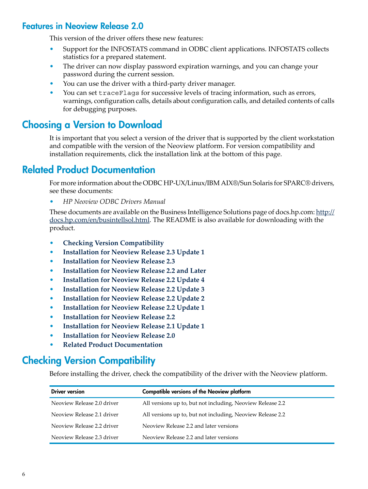# Features in Neoview Release 2.0

<span id="page-5-0"></span>This version of the driver offers these new features:

- Support for the INFOSTATS command in ODBC client applications. INFOSTATS collects statistics for a prepared statement.
- The driver can now display password expiration warnings, and you can change your password during the current session.
- You can use the driver with a third-party driver manager.
- <span id="page-5-1"></span>You can set traceFlags for successive levels of tracing information, such as errors, warnings, configuration calls, details about configuration calls, and detailed contents of calls for debugging purposes.

# Choosing a Version to Download

<span id="page-5-2"></span>It is important that you select a version of the driver that is supported by the client workstation and compatible with the version of the Neoview platform. For version compatibility and installation requirements, click the installation link at the bottom of this page.

# Related Product Documentation

For more information about the ODBC HP-UX/Linux/IBM AIX®/Sun Solaris for SPARC® drivers, see these documents:

• *HP Neoview ODBC Drivers Manual*

<span id="page-5-3"></span>These documents are available on the Business Intelligence Solutions page of docs.hp.com: [http://](http://docs.hp.com/en/busintellsol.html) [docs.hp.com/en/busintellsol.html.](http://docs.hp.com/en/busintellsol.html) The README is also available for downloading with the product.

- **Checking Version [Compatibility](#page-5-4)**
- **[Installation](#page-7-0) for Neoview Release 2.3 Update 1**
- **[Installation](#page-14-0) for Neoview Release 2.3**
- **[Installation](#page-19-0) for Neoview Release 2.2 and Later**
- **[Installation](#page-27-0) for Neoview Release 2.2 Update 4**
- **[Installation](#page-33-0) for Neoview Release 2.2 Update 3**
- **[Installation](#page-39-0) for Neoview Release 2.2 Update 2**
- **[Installation](#page-46-0) for Neoview Release 2.2 Update 1**
- <span id="page-5-4"></span>• **[Installation](#page-51-0) for Neoview Release 2.2**
- **[Installation](#page-55-0) for Neoview Release 2.1 Update 1**
- **[Installation](#page-58-0) for Neoview Release 2.0**
- **Related Product [Documentation](#page-62-0)**

# Checking Version Compatibility

Before installing the driver, check the compatibility of the driver with the Neoview platform.

| <b>Driver version</b>      | <b>Compatible versions of the Neoview platform</b>         |
|----------------------------|------------------------------------------------------------|
| Neoview Release 2.0 driver | All versions up to, but not including, Neoview Release 2.2 |
| Neoview Release 2.1 driver | All versions up to, but not including, Neoview Release 2.2 |
| Neoview Release 2.2 driver | Neoview Release 2.2 and later versions                     |
| Neoview Release 2.3 driver | Neoview Release 2.2 and later versions                     |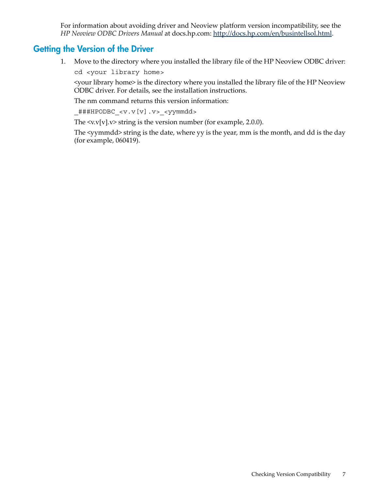<span id="page-6-0"></span>For information about avoiding driver and Neoview platform version incompatibility, see the *HP Neoview ODBC Drivers Manual* at docs.hp.com: [http://docs.hp.com/en/busintellsol.html.](http://docs.hp.com/en/busintellsol.html)

### Getting the Version of the Driver

1. Move to the directory where you installed the library file of the HP Neoview ODBC driver:

cd <your library home>

<your library home> is the directory where you installed the library file of the HP Neoview ODBC driver. For details, see the installation instructions.

The nm command returns this version information:

\_###HPODBC\_<v.v[v].v>\_<yymmdd>

The  $\langle v.v[v].v \rangle$  string is the version number (for example, 2.0.0).

The <yymmdd> string is the date, where yy is the year, mm is the month, and dd is the day (for example, 060419).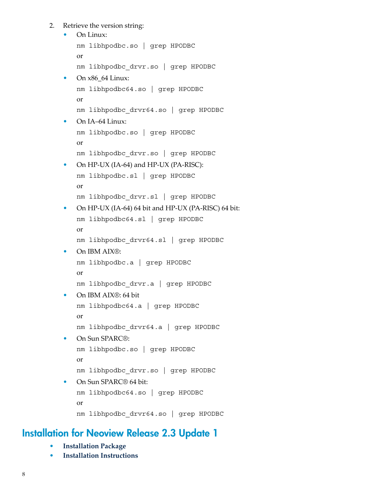2. Retrieve the version string:

```
• On Linux:
   nm libhpodbc.so | grep HPODBC
   or
   nm libhpodbc_drvr.so | grep HPODBC
 • On x86_64 Linux:
   nm libhpodbc64.so | grep HPODBC
   or
   nm libhpodbc_drvr64.so | grep HPODBC
• On IA-64 Linux:
   nm libhpodbc.so | grep HPODBC
   or
   nm libhpodbc_drvr.so | grep HPODBC
 • On HP-UX (IA-64) and HP-UX (PA-RISC):
   nm libhpodbc.sl | grep HPODBC
   or
   nm libhpodbc_drvr.sl | grep HPODBC
• On HP-UX (IA-64) 64 bit and HP-UX (PA-RISC) 64 bit:
   nm libhpodbc64.sl | grep HPODBC
   or
   nm libhpodbc_drvr64.sl | grep HPODBC
• On IBM AIX®:
   nm libhpodbc.a | grep HPODBC
   or
   nm libhpodbc_drvr.a | grep HPODBC
   • On IBM AIX®: 64 bit
   nm libhpodbc64.a | grep HPODBC
   or
   nm libhpodbc_drvr64.a | grep HPODBC
• On Sun SPARC®:
   nm libhpodbc.so | grep HPODBC
   or
   nm libhpodbc_drvr.so | grep HPODBC
• On Sun SPARC<sup>®</sup> 64 bit:
   nm libhpodbc64.so | grep HPODBC
   or
   nm libhpodbc_drvr64.so | grep HPODBC
```
# <span id="page-7-0"></span>Installation for Neoview Release 2.3 Update 1

- **[Installation](#page-8-0) Package**
- **Installation [Instructions](#page-10-0)**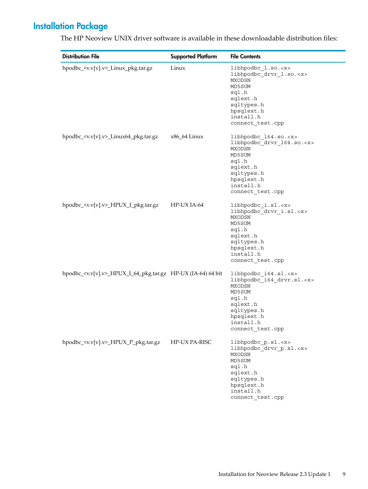# Installation Package

| <b>Distribution File</b>                                                | <b>Supported Platform</b> | <b>File Contents</b>                                                                                                                                                             |
|-------------------------------------------------------------------------|---------------------------|----------------------------------------------------------------------------------------------------------------------------------------------------------------------------------|
| hpodbc_ <v.v[v].v>_Linux_pkg.tar.gz</v.v[v].v>                          | Linux                     | libhpodbc_1.so. <x><br/>libhpodbc_drvr_l.so.<x><br/>MXODSN<br/>MD5SUM<br/>sql.h<br/>sqlext.h<br/>sqltypes.h<br/>hpsqlext.h<br/>install.h<br/>connect_test.cpp</x></x>            |
| hpodbc_ <v.v[v].v>_Linux64_pkg.tar.gz</v.v[v].v>                        | x86_64 Linux              | libhpodbc_164.so. <x><br/>libhpodbc_drvr_164.so.<x><br/>MXODSN<br/>MD5SUM<br/>sql.h<br/>sqlext.h<br/>sqltypes.h<br/>hpsqlext.h<br/>install.h<br/>connect_test.cpp</x></x>        |
| hpodbc_ <v.v[v].v>_HPUX_I_pkg.tar.gz</v.v[v].v>                         | HP-UX IA-64               | libhpodbc_i.sl. <x><br/>libhpodbc_drvr_i.sl.<x><br/>MXODSN<br/>MD5SUM<br/>sql.h<br/>sqlext.h<br/>sqltypes.h<br/>hpsqlext.h<br/>install.h<br/>connect_test.cpp</x></x>            |
| hpodbc_ <v.v[v].v>_HPUX_I_64_pkg.tar.gz HP-UX (IA-64) 64 bit</v.v[v].v> |                           | libhpodbc_i64.sl. <x><br/>libhpodbc_i64_drvr.sl.<x><br/><b>MXODSN</b><br/>MD5SUM<br/>sql.h<br/>sqlext.h<br/>sqltypes.h<br/>hpsqlext.h<br/>install.h<br/>connect test.cpp</x></x> |
| hpodbc_ <v.v[v].v>_HPUX_P_pkg.tar.gz</v.v[v].v>                         | HP-UX PA-RISC             | libhpodbc_p.sl. <x><br/>libhpodbc_drvr_p.sl.<x><br/>MXODSN<br/>MD5SUM<br/>sql.h<br/>sqlext.h<br/>sqltypes.h<br/>hpsqlext.h<br/>install.h<br/>connect_test.cpp</x></x>            |

<span id="page-8-0"></span>The HP Neoview UNIX driver software is available in these downloadable distribution files: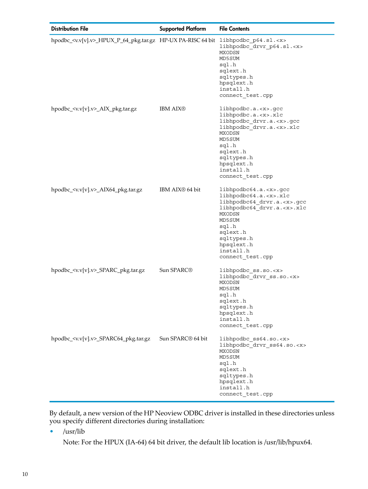| <b>Distribution File</b>                                                                         | <b>Supported Platform</b>     | <b>File Contents</b>                                                                                                                                                                                                                           |
|--------------------------------------------------------------------------------------------------|-------------------------------|------------------------------------------------------------------------------------------------------------------------------------------------------------------------------------------------------------------------------------------------|
| hpodbc_ <v.v[v].v>_HPUX_P_64_pkg.tar.gz HP-UX PA-RISC 64 bit libhpodbc_p64.sl.<x></x></v.v[v].v> |                               | libhpodbc_drvr_p64.sl. <x><br/>MXODSN<br/>MD5SUM<br/>sql.h<br/>sqlext.h<br/>sqltypes.h<br/>hpsqlext.h<br/>install.h<br/>connect test.cpp</x>                                                                                                   |
| hpodbc_ <v.v[v].v>_AIX_pkg.tar.gz</v.v[v].v>                                                     | <b>IBM AIX®</b>               | libhpodbc.a. <x>.gcc<br/>libhpodbc.a.<x>.xlc<br/>libhpodbc_drvr.a.<x>.gcc<br/>libhpodbc_drvr.a.<x>.xlc<br/>MXODSN<br/>MD5SUM<br/>sql.h<br/>sqlext.h<br/>sqltypes.h<br/>hpsqlext.h<br/>install.h<br/>connect_test.cpp</x></x></x></x>           |
| hpodbc_ <v.v[v].v>_AIX64_pkg.tar.gz</v.v[v].v>                                                   | IBM AIX <sup>®</sup> 64 bit   | $libhpodbc64.a. < x>. <$ gcc<br>libhpodbc64.a. <x>.xlc<br/>libhpodbc64 drvr.a.<x>.gcc<br/>libhpodbc64_drvr.a.<x>.xlc<br/>MXODSN<br/>MD5SUM<br/>sql.h<br/>sqlext.h<br/>sqltypes.h<br/>hpsqlext.h<br/>install.h<br/>connect_test.cpp</x></x></x> |
| hpodbc_ <v.v[v].v>_SPARC_pkg.tar.gz</v.v[v].v>                                                   | Sun SPARC <sup>®</sup>        | libhpodbc_ss.so. <x><br/>libhpodbc_drvr_ss.so.<x><br/>MXODSN<br/>MD5SUM<br/>sql.h<br/>sqlext.h<br/>sqltypes.h<br/>hpsqlext.h<br/>install.h<br/>connect test.cpp</x></x>                                                                        |
| hpodbc_ <v.v[v].v>_SPARC64_pkg.tar.gz</v.v[v].v>                                                 | Sun SPARC <sup>®</sup> 64 bit | libhpodbc ss64.so. <x><br/>libhpodbc drvr ss64.so.<x><br/>MXODSN<br/>MD5SUM<br/>sql.h<br/>sqlext.h<br/>sqltypes.h<br/>hpsqlext.h<br/>install.h<br/>connect_test.cpp</x></x>                                                                    |

By default, a new version of the HP Neoview ODBC driver is installed in these directories unless you specify different directories during installation:

• /usr/lib

Note: For the HPUX (IA-64) 64 bit driver, the default lib location is /usr/lib/hpux64.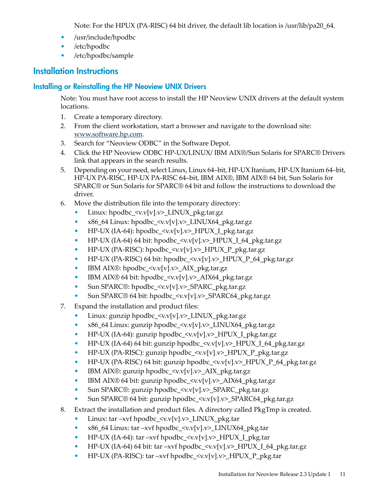Note: For the HPUX (PA-RISC) 64 bit driver, the default lib location is /usr/lib/pa20\_64.

- /usr/include/hpodbc
- /etc/hpodbc
- <span id="page-10-1"></span><span id="page-10-0"></span>• /etc/hpodbc/sample

# Installation Instructions

### Installing or Reinstalling the HP Neoview UNIX Drivers

Note: You must have root access to install the HP Neoview UNIX drivers at the default system locations.

- 1. Create a temporary directory.
- 2. From the client workstation, start a browser and navigate to the download site: [www.software.hp.com](http://www.software.hp.com).
- 3. Search for "Neoview ODBC" in the Software Depot.
- 4. Click the HP Neoview ODBC HP-UX/LINUX/ IBM AIX®/Sun Solaris for SPARC® Drivers link that appears in the search results.
- 5. Depending on your need, select Linux, Linux 64–bit, HP-UX Itanium, HP-UX Itanium 64–bit, HP-UX PA-RISC, HP-UX PA-RISC 64–bit, IBM AIX®, IBM AIX® 64 bit, Sun Solaris for SPARC® or Sun Solaris for SPARC® 64 bit and follow the instructions to download the driver.
- 6. Move the distribution file into the temporary directory:
	- Linux: hpodbc\_<v.v[v].v>\_LINUX\_pkg.tar.gz
	- x86\_64 Linux: hpodbc\_<v.v[v].v>\_LINUX64\_pkg.tar.gz
	- HP-UX (IA-64): hpodbc\_<v.v[v].v>\_HPUX\_I\_pkg.tar.gz
	- HP-UX (IA-64) 64 bit: hpodbc\_ $\langle v.v[v].v \rangle$ \_HPUX\_I\_64\_pkg.tar.gz
	- HP-UX (PA-RISC): hpodbc\_<v.v[v].v>\_HPUX\_P\_pkg.tar.gz
	- HP-UX (PA-RISC) 64 bit:  $h$ podbc\_ $\langle v.v[v].v \rangle$ \_HPUX\_P\_64\_pkg.tar.gz
	- IBM AIX®: hpodbc\_<v.v[v].v>\_AIX\_pkg.tar.gz
	- IBM AIX® 64 bit: hpodbc\_<v.v[v].v>\_AIX64\_pkg.tar.gz
	- Sun SPARC®: hpodbc\_<v.v[v].v>\_SPARC\_pkg.tar.gz
	- Sun SPARC® 64 bit: hpodbc\_<v.v[v].v>\_SPARC64\_pkg.tar.gz
- 7. Expand the installation and product files:
	- Linux: gunzip hpodbc\_<v.v[v].v>\_LINUX\_pkg.tar.gz
	- x86\_64 Linux: gunzip hpodbc\_<v.v[v].v>\_LINUX64\_pkg.tar.gz
	- HP-UX (IA-64): gunzip hpodbc\_<v.v[v].v>\_HPUX\_I\_pkg.tar.gz
	- HP-UX (IA-64) 64 bit: gunzip hpodbc\_<v.v[v].v>\_HPUX\_I\_64\_pkg.tar.gz
	- HP-UX (PA-RISC): gunzip hpodbc\_<v.v[v].v>\_HPUX\_P\_pkg.tar.gz
	- HP-UX (PA-RISC) 64 bit: gunzip hpodbc\_<v.v[v].v>\_HPUX\_P\_64\_pkg.tar.gz
	- IBM AIX®: gunzip hpodbc\_<v.v[v].v>\_AIX\_pkg.tar.gz
	- IBM AIX® 64 bit: gunzip hpodbc  $\langle v.\mathbf{v}[\mathbf{v}]$ . $v \rangle$  AIX64 pkg.tar.gz
	- Sun SPARC®: gunzip hpodbc\_<v.v[v].v>\_SPARC\_pkg.tar.gz
	- Sun SPARC® 64 bit: gunzip hpodbc\_<v.v[v].v>\_SPARC64\_pkg.tar.gz
- 8. Extract the installation and product files. A directory called PkgTmp is created.
	- Linux: tar –xvf hpodbc\_<v.v[v].v>\_LINUX\_pkg.tar
	- x86\_64 Linux: tar –xvf hpodbc\_<v.v[v].v>\_LINUX64\_pkg.tar
	- HP-UX (IA-64):  $tar -xvf$  hpodbc\_ $\langle v.v[v].v \rangle$ \_HPUX\_I\_pkg.tar
	- HP-UX (IA-64) 64 bit: tar –xvf hpodbc\_ $\langle v.v[v].v \rangle$ \_HPUX\_I\_64\_pkg.tar.gz
	- HP-UX (PA-RISC): tar –xvf hpodbc\_<v.v[v].v>\_HPUX\_P\_pkg.tar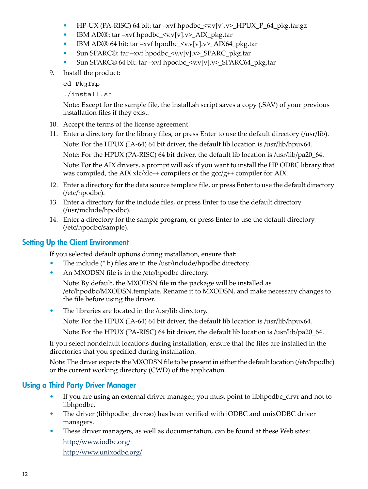- HP-UX (PA-RISC) 64 bit: tar –xvf hpodbc\_ $\langle v.v[v].v \rangle$ \_HPUX\_P\_64\_pkg.tar.gz
- IBM AIX®: tar –xvf hpodbc  $\langle v.v[v], v \rangle$  AIX pkg.tar
- IBM AIX® 64 bit: tar –xvf hpodbc\_ $\langle v.v[v].v \rangle$ \_AIX64\_pkg.tar
- Sun SPARC®: tar –xvf hpodbc\_ $\langle v.v[v].v \rangle$ \_SPARC\_pkg.tar
- Sun SPARC<sup>®</sup> 64 bit: tar –xvf hpodbc\_<v.v[v].v>\_SPARC64\_pkg.tar
- 9. Install the product:

cd PkgTmp

./install.sh

Note: Except for the sample file, the install.sh script saves a copy (.SAV) of your previous installation files if they exist.

- 10. Accept the terms of the license agreement.
- 11. Enter a directory for the library files, or press Enter to use the default directory (/usr/lib). Note: For the HPUX (IA-64) 64 bit driver, the default lib location is /usr/lib/hpux64. Note: For the HPUX (PA-RISC) 64 bit driver, the default lib location is /usr/lib/pa20\_64. Note: For the AIX drivers, a prompt will ask if you want to install the HP ODBC library that was compiled, the AIX xlc/xlc++ compilers or the gcc/g++ compiler for AIX.
- 12. Enter a directory for the data source template file, or press Enter to use the default directory (/etc/hpodbc).
- 13. Enter a directory for the include files, or press Enter to use the default directory (/usr/include/hpodbc).
- <span id="page-11-0"></span>14. Enter a directory for the sample program, or press Enter to use the default directory (/etc/hpodbc/sample).

### Setting Up the Client Environment

If you selected default options during installation, ensure that:

- The include (\*.h) files are in the /usr/include/hpodbc directory.
- An MXODSN file is in the /etc/hpodbc directory.

Note: By default, the MXODSN file in the package will be installed as /etc/hpodbc/MXODSN.template. Rename it to MXODSN, and make necessary changes to the file before using the driver.

• The libraries are located in the /usr/lib directory.

Note: For the HPUX (IA-64) 64 bit driver, the default lib location is /usr/lib/hpux64.

Note: For the HPUX (PA-RISC) 64 bit driver, the default lib location is /usr/lib/pa20\_64.

<span id="page-11-1"></span>If you select nondefault locations during installation, ensure that the files are installed in the directories that you specified during installation.

Note: The driver expects the MXODSN file to be present in either the default location (/etc/hpodbc) or the current working directory (CWD) of the application.

### Using a Third Party Driver Manager

- If you are using an external driver manager, you must point to libhpodbc\_drvr and not to libhpodbc.
- The driver (libhpodbc\_drvr.so) has been verified with iODBC and unixODBC driver managers.
- These driver managers, as well as documentation, can be found at these Web sites: <http://www.iodbc.org/>

<http://www.unixodbc.org/>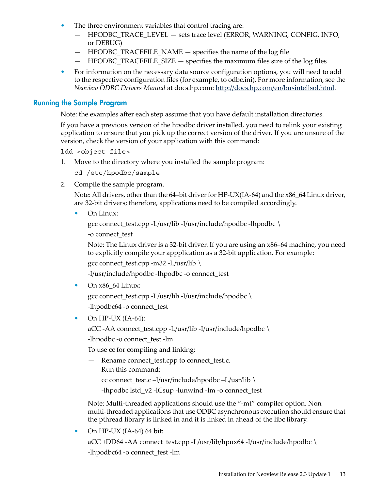- The three environment variables that control tracing are:
	- HPODBC\_TRACE\_LEVEL sets trace level (ERROR, WARNING, CONFIG, INFO, or DEBUG)
	- HPODBC\_TRACEFILE\_NAME specifies the name of the log file
	- $-$  HPODBC TRACEFILE SIZE  $-$  specifies the maximum files size of the log files
- <span id="page-12-0"></span>• For information on the necessary data source configuration options, you will need to add to the respective configuration files (for example, to odbc.ini). For more information, see the *Neoview ODBC Drivers Manual* at docs.hp.com: [http://docs.hp.com/en/busintellsol.html.](http://docs.hp.com/en/busintellsol.html)

#### Running the Sample Program

Note: the examples after each step assume that you have default installation directories.

If you have a previous version of the hpodbc driver installed, you need to relink your existing application to ensure that you pick up the correct version of the driver. If you are unsure of the version, check the version of your application with this command:

ldd <object file>

1. Move to the directory where you installed the sample program:

cd /etc/hpodbc/sample

2. Compile the sample program.

Note: All drivers, other than the 64–bit driver for HP-UX(IA-64) and the  $x86\_64$  Linux driver, are 32-bit drivers; therefore, applications need to be compiled accordingly.

• On Linux:

```
gcc connect_test.cpp -L/usr/lib -I/usr/include/hpodbc -lhpodbc \
```
-o connect\_test

Note: The Linux driver is a 32-bit driver. If you are using an x86–64 machine, you need to explicitly compile your appplication as a 32-bit application. For example:

gcc connect\_test.cpp -m32 -L/usr/lib \

-I/usr/include/hpodbc -lhpodbc -o connect\_test

• On x86\_64 Linux:

gcc connect test.cpp -L/usr/lib -I/usr/include/hpodbc  $\setminus$ -lhpodbc64 -o connect\_test

• On HP-UX  $(IA-64)$ :

aCC -AA connect\_test.cpp -L/usr/lib -I/usr/include/hpodbc \

-lhpodbc -o connect\_test -lm

To use cc for compiling and linking:

- Rename connect\_test.cpp to connect\_test.c.
- Run this command:

cc connect\_test.c –I/usr/include/hpodbc –L/usr/lib \

-lhpodbc lstd\_v2 -lCsup -lunwind -lm -o connect\_test

Note: Multi-threaded applications should use the "-mt" compiler option. Non multi-threaded applications that use ODBC asynchronous execution should ensure that the pthread library is linked in and it is linked in ahead of the libc library.

• On HP-UX (IA-64) 64 bit:

aCC +DD64 -AA connect\_test.cpp -L/usr/lib/hpux64 -I/usr/include/hpodbc \ -lhpodbc64 -o connect\_test -lm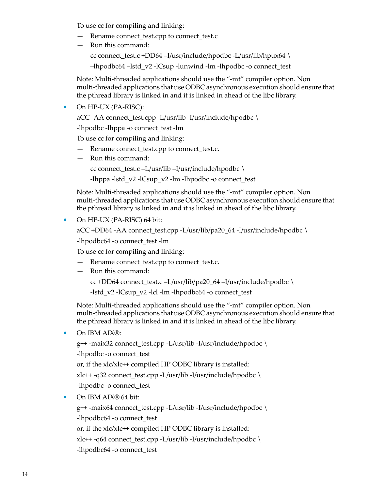To use cc for compiling and linking:

- Rename connect\_test.cpp to connect\_test.c
- Run this command: cc connect test.c +DD64 –I/usr/include/hpodbc -L/usr/lib/hpux64 \ –lhpodbc64 –lstd\_v2 -lCsup -lunwind -lm -lhpodbc -o connect\_test

Note: Multi-threaded applications should use the "-mt" compiler option. Non multi-threaded applications that use ODBC asynchronous execution should ensure that the pthread library is linked in and it is linked in ahead of the libc library.

• On HP-UX (PA-RISC):

aCC -AA connect\_test.cpp -L/usr/lib -I/usr/include/hpodbc \

-lhpodbc -lhppa -o connect\_test -lm

To use cc for compiling and linking:

- Rename connect\_test.cpp to connect\_test.c.
- Run this command:

cc connect\_test.c –L/usr/lib –I/usr/include/hpodbc  $\setminus$ 

-lhppa -lstd\_v2 -lCsup\_v2 -lm -lhpodbc -o connect\_test

Note: Multi-threaded applications should use the "-mt" compiler option. Non multi-threaded applications that use ODBC asynchronous execution should ensure that the pthread library is linked in and it is linked in ahead of the libc library.

• On HP-UX (PA-RISC) 64 bit:

```
aCC +DD64 -AA connect_test.cpp -L/usr/lib/pa20_64 -I/usr/include/hpodbc \
```
-lhpodbc64 -o connect\_test -lm

To use cc for compiling and linking:

- Rename connect\_test.cpp to connect\_test.c.
- Run this command:

cc +DD64 connect\_test.c –L/usr/lib/pa20\_64 –I/usr/include/hpodbc \

-lstd\_v2 -lCsup\_v2 -lcl -lm -lhpodbc64 -o connect\_test

Note: Multi-threaded applications should use the "-mt" compiler option. Non multi-threaded applications that use ODBC asynchronous execution should ensure that the pthread library is linked in and it is linked in ahead of the libc library.

• On IBM AIX®:

```
g++ -maix32 connect_test.cpp -L/usr/lib -I/usr/include/hpodbc \
-lhpodbc -o connect_test
or, if the xlc/xlc++ compiled HP ODBC library is installed:
xlc++ -q32 connect_test.cpp -L/usr/lib -I/usr/include/hpodbc \
-lhpodbc -o connect_test
```
• On IBM AIX<sup>®</sup> 64 bit:

g++ -maix64 connect\_test.cpp -L/usr/lib -I/usr/include/hpodbc \ -lhpodbc64 -o connect\_test

or, if the xlc/xlc++ compiled HP ODBC library is installed:

xlc++ -q64 connect\_test.cpp -L/usr/lib -I/usr/include/hpodbc \

-lhpodbc64 -o connect\_test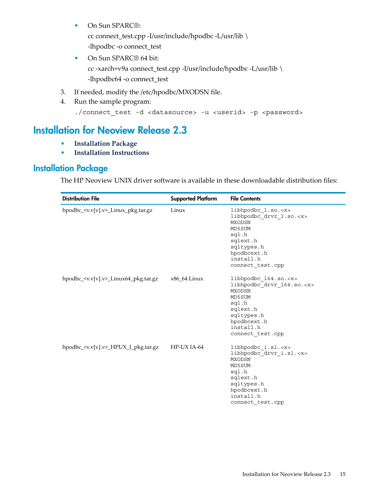- On Sun SPARC®: cc connect\_test.cpp -I/usr/include/hpodbc -L/usr/lib \ -lhpodbc -o connect\_test
- On Sun SPARC<sup>®</sup> 64 bit: cc -xarch=v9a connect\_test.cpp -I/usr/include/hpodbc -L/usr/lib \ -lhpodbc64 -o connect\_test
- 3. If needed, modify the /etc/hpodbc/MXODSN file.
- <span id="page-14-0"></span>4. Run the sample program:

```
./connect_test -d <datasource> -u <userid> -p <password>
```
# Installation for Neoview Release 2.3

- <span id="page-14-1"></span>• **[Installation](#page-14-1) Package**
- **Installation [Instructions](#page-16-0)**

# Installation Package

The HP Neoview UNIX driver software is available in these downloadable distribution files:

| <b>Distribution File</b>                               | <b>Supported Platform</b> | <b>File Contents</b>                                                                                                                                                          |
|--------------------------------------------------------|---------------------------|-------------------------------------------------------------------------------------------------------------------------------------------------------------------------------|
| hpodbc_ <v.v[v].v>_Linux_pkg.tar.gz</v.v[v].v>         | Linux                     | libhpodbc l.so. <x><br/>libhpodbc drvr 1.so.<x><br/>MXODSN<br/>MD5SUM<br/>sql.h<br/>sqlext.h<br/>sqltypes.h<br/>hpodbcext.h<br/>install.h<br/>connect test.cpp</x></x>        |
| hpodbc_ $\langle v.v[v].v \rangle$ _Linux64_pkg.tar.gz | $x86$ 64 Linux            | libhpodbc 164.so. <x><br/>libhpodbc drvr 164.so.<x><br/>MXODSN<br/>MD5SUM<br/>sql.h<br/>sqlext.h<br/>sqltypes.h<br/>hpodbcext.h<br/>install.h<br/>connect test.cpp</x></x>    |
| hpodbc_ <v.v[v].v>_HPUX_I_pkg.tar.gz</v.v[v].v>        | HP-UX IA-64               | libhpodbc i.sl. <x><br/>libhpodbc drvr i.sl.<x><br/><b>MXODSN</b><br/>MD5SUM<br/>sql.h<br/>sqlext.h<br/>sqltypes.h<br/>hpodbcext.h<br/>install.h<br/>connect test.cpp</x></x> |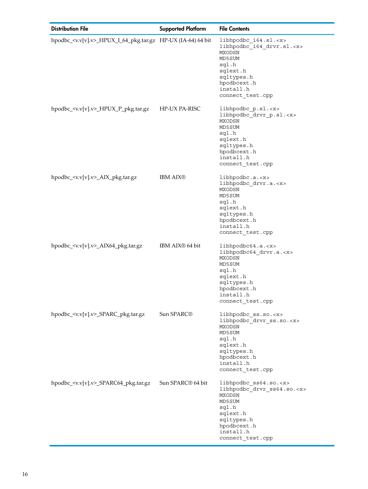| <b>Distribution File</b>                                                | <b>Supported Platform</b>     | <b>File Contents</b>                                                                                                                                                         |
|-------------------------------------------------------------------------|-------------------------------|------------------------------------------------------------------------------------------------------------------------------------------------------------------------------|
| hpodbc_ <v.v[v].v>_HPUX_I_64_pkg.tar.gz HP-UX (IA-64) 64 bit</v.v[v].v> |                               | libhpodbc_i64.sl. <x><br/>libhpodbc i64 drvr.sl.<x><br/>MXODSN<br/>MD5SUM<br/>sql.h<br/>sqlext.h<br/>sqltypes.h<br/>hpodbcext.h<br/>install.h<br/>connect test.cpp</x></x>   |
| hpodbc_ <v.v[v].v>_HPUX_P_pkg.tar.gz</v.v[v].v>                         | HP-UX PA-RISC                 | libhpodbc_p.sl. <x><br/>libhpodbc_drvr_p.sl.<x><br/>MXODSN<br/>MD5SUM<br/>sql.h<br/>sqlext.h<br/>sqltypes.h<br/>hpodbcext.h<br/>install.h<br/>connect_test.cpp</x></x>       |
| hpodbc_ <v.v[v].v>_AIX_pkg.tar.gz</v.v[v].v>                            | <b>IBM AIX®</b>               | libhpodbc.a. < x><br>libhpodbc drvr.a. <x><br/>MXODSN<br/>MD5SUM<br/>sql.h<br/>sqlext.h<br/>sqltypes.h<br/>hpodbcext.h<br/>install.h<br/>connect_test.cpp</x>                |
| hpodbc_ <v.v[v].v>_AIX64_pkg.tar.gz</v.v[v].v>                          | IBM AIX <sup>®</sup> 64 bit   | libhpodbc64.a. < x><br>libhpodbc64 drvr.a. <x><br/>MXODSN<br/>MD5SUM<br/>sql.h<br/>sqlext.h<br/>sqltypes.h<br/>hpodbcext.h<br/>install.h<br/>connect_test.cpp</x>            |
| hpodbc_ <v.v[v].v>_SPARC_pkg.tar.gz</v.v[v].v>                          | Sun SPARC <sup>®</sup>        | libhpodbc_ss.so. <x><br/>libhpodbc drvr ss.so.<x><br/>MXODSN<br/>MD5SUM<br/>sql.h<br/>sqlext.h<br/>sqltypes.h<br/>hpodbcext.h<br/>install.h<br/>connect_test.cpp</x></x>     |
| hpodbc_ <v.v[v].v>_SPARC64_pkg.tar.gz</v.v[v].v>                        | Sun SPARC <sup>®</sup> 64 bit | libhpodbc_ss64.so. <x><br/>libhpodbc_drvr_ss64.so.<x><br/>MXODSN<br/>MD5SUM<br/>sql.h<br/>sqlext.h<br/>sqltypes.h<br/>hpodbcext.h<br/>install.h<br/>connect_test.cpp</x></x> |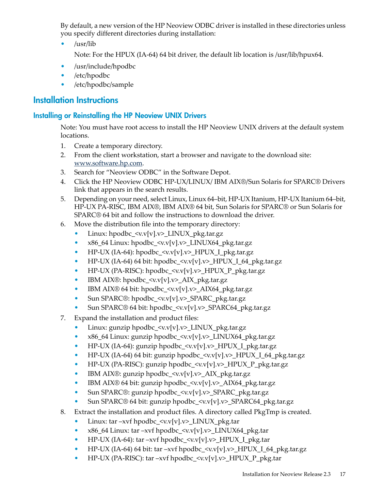By default, a new version of the HP Neoview ODBC driver is installed in these directories unless you specify different directories during installation:

• /usr/lib

Note: For the HPUX (IA-64) 64 bit driver, the default lib location is /usr/lib/hpux64.

- /usr/include/hpodbc
- /etc/hpodbc
- <span id="page-16-1"></span><span id="page-16-0"></span>• /etc/hpodbc/sample

# Installation Instructions

#### Installing or Reinstalling the HP Neoview UNIX Drivers

Note: You must have root access to install the HP Neoview UNIX drivers at the default system locations.

- 1. Create a temporary directory.
- 2. From the client workstation, start a browser and navigate to the download site: [www.software.hp.com](http://www.software.hp.com).
- 3. Search for "Neoview ODBC" in the Software Depot.
- 4. Click the HP Neoview ODBC HP-UX/LINUX/ IBM AIX®/Sun Solaris for SPARC® Drivers link that appears in the search results.
- 5. Depending on your need, select Linux, Linux 64–bit, HP-UX Itanium, HP-UX Itanium 64–bit, HP-UX PA-RISC, IBM AIX®, IBM AIX® 64 bit, Sun Solaris for SPARC® or Sun Solaris for SPARC® 64 bit and follow the instructions to download the driver.
- 6. Move the distribution file into the temporary directory:
	- Linux: hpodbc\_<v.v[v].v>\_LINUX\_pkg.tar.gz
	- x86\_64 Linux: hpodbc\_ <v.v[v].v>\_LINUX64\_pkg.tar.gz
	- HP-UX (IA-64): hpodbc  $\langle v.v[v], v \rangle$  HPUX I pkg.tar.gz
	- HP-UX (IA-64) 64 bit: hpodbc\_<v.v[v].v>\_HPUX\_I\_64\_pkg.tar.gz
	- HP-UX (PA-RISC): hpodbc\_<v.v[v].v>\_HPUX\_P\_pkg.tar.gz
	- IBM AIX®: hpodbc  $\langle v.v[v].v \rangle$  AIX pkg.tar.gz
	- IBM AIX<sup>®</sup> 64 bit: hpodbc\_<v.v[v].v>\_AIX64\_pkg.tar.gz
	- Sun SPARC®: hpodbc\_<v.v[v].v>\_SPARC\_pkg.tar.gz
	- Sun SPARC® 64 bit: hpodbc\_<v.v[v].v>\_SPARC64\_pkg.tar.gz
- 7. Expand the installation and product files:
	- Linux: gunzip hpodbc\_<v.v[v].v>\_LINUX\_pkg.tar.gz
	- x86\_64 Linux: gunzip hpodbc\_<v.v[v].v>\_LINUX64\_pkg.tar.gz
	- HP-UX (IA-64): gunzip hpodbc\_<v.v[v].v>\_HPUX\_I\_pkg.tar.gz
	- HP-UX (IA-64) 64 bit: gunzip hpodbc\_<v.v[v].v>\_HPUX\_I\_64\_pkg.tar.gz
	- HP-UX (PA-RISC): gunzip hpodbc\_<v.v[v].v>\_HPUX\_P\_pkg.tar.gz
	- IBM AIX®: gunzip hpodbc\_<v.v[v].v>\_AIX\_pkg.tar.gz
	- IBM AIX® 64 bit: gunzip hpodbc\_<v.v[v].v>\_AIX64\_pkg.tar.gz
	- Sun SPARC®: gunzip hpodbc\_<v.v[v].v>\_SPARC\_pkg.tar.gz
	- Sun SPARC® 64 bit: gunzip hpodbc\_<v.v[v].v>\_SPARC64\_pkg.tar.gz
- 8. Extract the installation and product files. A directory called PkgTmp is created.
	- Linux: tar –xvf hpodbc\_<v.v[v].v>\_LINUX\_pkg.tar
	- x86\_64 Linux: tar –xvf hpodbc\_<v.v[v].v>\_LINUX64\_pkg.tar
	- HP-UX (IA-64): tar –xvf hpodbc\_<v.v[v].v>\_HPUX\_I\_pkg.tar
	- HP-UX (IA-64) 64 bit: tar –xvf hpodbc\_<v.v[v].v>\_HPUX\_I\_64\_pkg.tar.gz
	- HP-UX (PA-RISC): tar –xvf hpodbc\_<v.v[v].v>\_HPUX\_P\_pkg.tar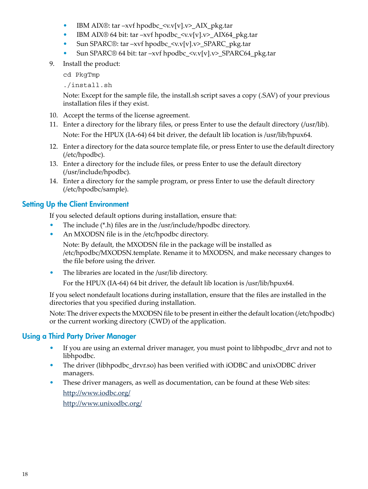- IBM AIX®: tar –xvf hpodbc\_ $\langle v.v[v].v \rangle$ \_AIX\_pkg.tar
- IBM AIX® 64 bit: tar –xvf hpodbc\_ $\langle v.v[v].v \rangle$ \_AIX64\_pkg.tar
- Sun SPARC®: tar –xvf hpodbc\_ $\langle v.v[v].v \rangle$ \_SPARC\_pkg.tar
- Sun SPARC® 64 bit: tar –xvf hpodbc\_<v.v[v].v>\_SPARC64\_pkg.tar
- 9. Install the product:

cd PkgTmp

./install.sh

Note: Except for the sample file, the install.sh script saves a copy (.SAV) of your previous installation files if they exist.

- 10. Accept the terms of the license agreement.
- 11. Enter a directory for the library files, or press Enter to use the default directory (/usr/lib). Note: For the HPUX (IA-64) 64 bit driver, the default lib location is /usr/lib/hpux64.
- 12. Enter a directory for the data source template file, or press Enter to use the default directory (/etc/hpodbc).
- 13. Enter a directory for the include files, or press Enter to use the default directory (/usr/include/hpodbc).
- <span id="page-17-0"></span>14. Enter a directory for the sample program, or press Enter to use the default directory (/etc/hpodbc/sample).

# Setting Up the Client Environment

If you selected default options during installation, ensure that:

- The include (\*.h) files are in the /usr/include/hpodbc directory.
- An MXODSN file is in the /etc/hpodbc directory.

Note: By default, the MXODSN file in the package will be installed as /etc/hpodbc/MXODSN.template. Rename it to MXODSN, and make necessary changes to the file before using the driver.

• The libraries are located in the /usr/lib directory.

For the HPUX (IA-64) 64 bit driver, the default lib location is /usr/lib/hpux64.

<span id="page-17-1"></span>If you select nondefault locations during installation, ensure that the files are installed in the directories that you specified during installation.

Note: The driver expects the MXODSN file to be present in either the default location (/etc/hpodbc) or the current working directory (CWD) of the application.

### Using a Third Party Driver Manager

- If you are using an external driver manager, you must point to libhpodbc drvr and not to libhpodbc.
- The driver (libhpodbc\_drvr.so) has been verified with iODBC and unixODBC driver managers.
- These driver managers, as well as documentation, can be found at these Web sites: <http://www.iodbc.org/> <http://www.unixodbc.org/>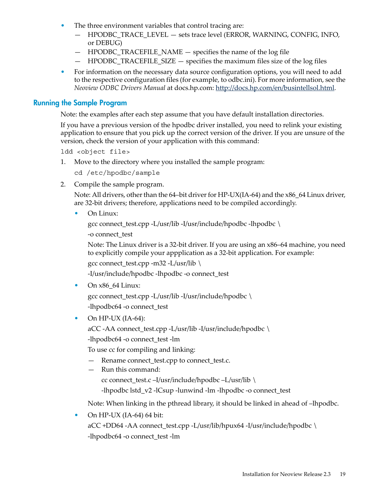- The three environment variables that control tracing are:
	- HPODBC\_TRACE\_LEVEL sets trace level (ERROR, WARNING, CONFIG, INFO, or DEBUG)
	- HPODBC\_TRACEFILE\_NAME specifies the name of the log file
	- $-$  HPODBC TRACEFILE SIZE  $-$  specifies the maximum files size of the log files
- <span id="page-18-0"></span>• For information on the necessary data source configuration options, you will need to add to the respective configuration files (for example, to odbc.ini). For more information, see the *Neoview ODBC Drivers Manual* at docs.hp.com: [http://docs.hp.com/en/busintellsol.html.](http://docs.hp.com/en/busintellsol.html)

#### Running the Sample Program

Note: the examples after each step assume that you have default installation directories.

If you have a previous version of the hpodbc driver installed, you need to relink your existing application to ensure that you pick up the correct version of the driver. If you are unsure of the version, check the version of your application with this command:

ldd <object file>

1. Move to the directory where you installed the sample program:

cd /etc/hpodbc/sample

2. Compile the sample program.

Note: All drivers, other than the 64–bit driver for HP-UX(IA-64) and the  $x86\_64$  Linux driver, are 32-bit drivers; therefore, applications need to be compiled accordingly.

• On Linux:

```
gcc connect_test.cpp -L/usr/lib -I/usr/include/hpodbc -lhpodbc \
```
-o connect\_test

Note: The Linux driver is a 32-bit driver. If you are using an x86–64 machine, you need to explicitly compile your appplication as a 32-bit application. For example:

gcc connect\_test.cpp -m32 -L/usr/lib \

-I/usr/include/hpodbc -lhpodbc -o connect\_test

• On  $x86$  64 Linux:

gcc connect test.cpp -L/usr/lib -I/usr/include/hpodbc  $\setminus$ -lhpodbc64 -o connect\_test

• On HP-UX  $(IA-64)$ :

aCC -AA connect\_test.cpp -L/usr/lib -I/usr/include/hpodbc \

-lhpodbc64 -o connect\_test -lm

To use cc for compiling and linking:

- Rename connect\_test.cpp to connect\_test.c.
- Run this command:

cc connect\_test.c –I/usr/include/hpodbc –L/usr/lib \

-lhpodbc lstd\_v2 -lCsup -lunwind -lm -lhpodbc -o connect\_test

Note: When linking in the pthread library, it should be linked in ahead of –lhpodbc.

• On HP-UX  $(IA-64)$  64 bit:

aCC +DD64 -AA connect\_test.cpp -L/usr/lib/hpux64 -I/usr/include/hpodbc \ -lhpodbc64 -o connect\_test -lm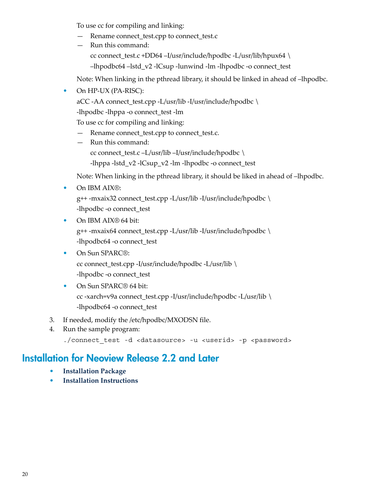To use cc for compiling and linking:

- Rename connect\_test.cpp to connect\_test.c
- Run this command: cc connect\_test.c +DD64 –I/usr/include/hpodbc -L/usr/lib/hpux64 \ –lhpodbc64 –lstd\_v2 -lCsup -lunwind -lm -lhpodbc -o connect\_test

Note: When linking in the pthread library, it should be linked in ahead of –lhpodbc.

• On HP-UX (PA-RISC):

aCC -AA connect\_test.cpp -L/usr/lib -I/usr/include/hpodbc \

-lhpodbc -lhppa -o connect\_test -lm

To use cc for compiling and linking:

- Rename connect\_test.cpp to connect\_test.c.
- Run this command: cc connect\_test.c –L/usr/lib –I/usr/include/hpodbc \ -lhppa -lstd\_v2 -lCsup\_v2 -lm -lhpodbc -o connect\_test

Note: When linking in the pthread library, it should be liked in ahead of –lhpodbc.

• On IBM AIX®:

g++ -mxaix32 connect\_test.cpp -L/usr/lib -I/usr/include/hpodbc \ -lhpodbc -o connect\_test

- On IBM AIX® 64 bit: g++ -mxaix64 connect\_test.cpp -L/usr/lib -I/usr/include/hpodbc \ -lhpodbc64 -o connect\_test
- On Sun SPARC®: cc connect\_test.cpp -I/usr/include/hpodbc -L/usr/lib \ -lhpodbc -o connect\_test
- On Sun SPARC<sup>®</sup> 64 bit: cc -xarch=v9a connect\_test.cpp -I/usr/include/hpodbc -L/usr/lib \ -lhpodbc64 -o connect\_test
- <span id="page-19-0"></span>3. If needed, modify the /etc/hpodbc/MXODSN file.
- 4. Run the sample program:

./connect test -d <datasource> -u <userid> -p <password>

# Installation for Neoview Release 2.2 and Later

- **[Installation](#page-20-0) Package**
- **Installation [Instructions](#page-22-0)**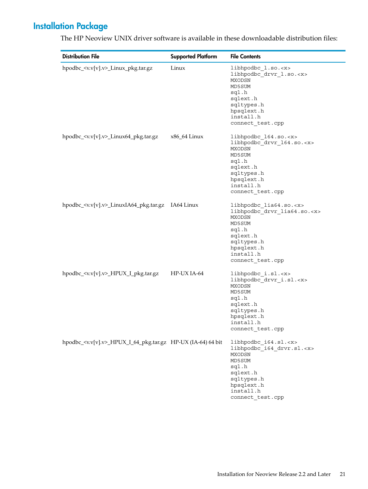# Installation Package

| <b>Distribution File</b>                                                | <b>Supported Platform</b> | <b>File Contents</b>                                                                                                                                                          |
|-------------------------------------------------------------------------|---------------------------|-------------------------------------------------------------------------------------------------------------------------------------------------------------------------------|
| hpodbc_ <v.v[v].v>_Linux_pkg.tar.gz</v.v[v].v>                          | Linux                     | libhpodbc_1.so. <x><br/>libhpodbc_drvr_l.so.<x><br/>MXODSN<br/>MD5SUM<br/>sql.h<br/>sqlext.h<br/>sqltypes.h<br/>hpsqlext.h<br/>install.h<br/>connect test.cpp</x></x>         |
| hpodbc_ <v.v[v].v>_Linux64_pkg.tar.gz</v.v[v].v>                        | x86_64 Linux              | libhpodbc_164.so. <x><br/>libhpodbc_drvr_164.so.<x><br/>MXODSN<br/>MD5SUM<br/>sql.h<br/>sqlext.h<br/>sqltypes.h<br/>hpsqlext.h<br/>install.h<br/>connect test.cpp</x></x>     |
| hpodbc_ <v.v[v].v>_LinuxIA64_pkg.tar.gz IA64 Linux</v.v[v].v>           |                           | libhpodbc lia64.so. <x><br/>libhpodbc_drvr_lia64.so.<x><br/>MXODSN<br/>MD5SUM<br/>sql.h<br/>sqlext.h<br/>sqltypes.h<br/>hpsqlext.h<br/>install.h<br/>connect_test.cpp</x></x> |
| hpodbc_ <v.v[v].v>_HPUX_I_pkg.tar.gz</v.v[v].v>                         | HP-UX IA-64               | libhpodbc_i.sl. <x><br/>libhpodbc_drvr_i.sl.<x><br/>MXODSN<br/>MD5SUM<br/>sql.h<br/>sqlext.h<br/>sqltypes.h<br/>hpsqlext.h<br/>install.h<br/>connect test.cpp</x></x>         |
| hpodbc_ <v.v[v].v>_HPUX_I_64_pkg.tar.gz HP-UX (IA-64) 64 bit</v.v[v].v> |                           | libhpodbc i64.sl. <x><br/>libhpodbc_i64_drvr.sl.<x><br/>MXODSN<br/>MD5SUM<br/>sql.h<br/>sqlext.h<br/>sqltypes.h<br/>hpsqlext.h<br/>install.h<br/>connect_test.cpp</x></x>     |

<span id="page-20-0"></span>The HP Neoview UNIX driver software is available in these downloadable distribution files: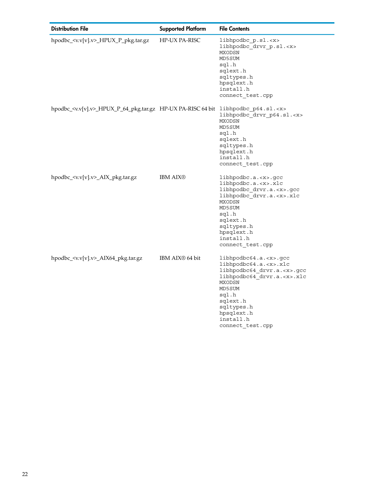| <b>Distribution File</b>                                                                         | <b>Supported Platform</b>   | <b>File Contents</b>                                                                                                                                                                                                                         |
|--------------------------------------------------------------------------------------------------|-----------------------------|----------------------------------------------------------------------------------------------------------------------------------------------------------------------------------------------------------------------------------------------|
| hpodbc_ <v.v[v].v>_HPUX_P_pkg.tar.gz</v.v[v].v>                                                  | <b>HP-UX PA-RISC</b>        | libhpodbc p.sl. <x><br/>libhpodbc drvr p.sl.<x><br/>MXODSN<br/>MD5SUM<br/>sql.h<br/>sqlext.h<br/>sqltypes.h<br/>hpsqlext.h<br/>install.h<br/>connect_test.cpp</x></x>                                                                        |
| hpodbc_ <v.v[v].v>_HPUX_P_64_pkg.tar.gz HP-UX PA-RISC 64 bit libhpodbc_p64.sl.<x></x></v.v[v].v> |                             | libhpodbc drvr p64.sl. <x><br/>MXODSN<br/>MD5SUM<br/>sql.h<br/>sqlext.h<br/>sqltypes.h<br/>hpsqlext.h<br/>install.h<br/>connect_test.cpp</x>                                                                                                 |
| hpodbc_ <v.v[v].v>_AIX_pkg.tar.gz</v.v[v].v>                                                     | <b>IBM AIX®</b>             | libhpodbc.a. <x>.gcc<br/>libhpodbc.a.<x>.xlc<br/>libhpodbc_drvr.a.<x>.gcc<br/>libhpodbc drvr.a.<x>.xlc<br/>MXODSN<br/>MD5SUM<br/>sql.h<br/>sqlext.h<br/>sqltypes.h<br/>hpsqlext.h<br/>install.h<br/>connect_test.cpp</x></x></x></x>         |
| hpodbc_ <v.v[v].v>_AIX64_pkg.tar.gz</v.v[v].v>                                                   | IBM AIX <sup>®</sup> 64 bit | libhpodbc64.a. <x>.gcc<br/>libhpodbc64.a.<x>.xlc<br/>libhpodbc64 drvr.a.<x>.gcc<br/>libhpodbc64 drvr.a.<x>.xlc<br/>MXODSN<br/>MD5SUM<br/>sql.h<br/>sqlext.h<br/>sqltypes.h<br/>hpsqlext.h<br/>install.h<br/>connect test.cpp</x></x></x></x> |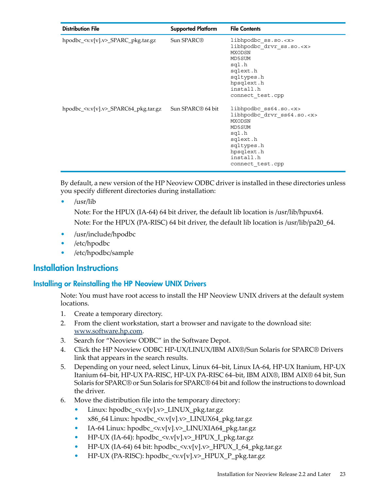| <b>Distribution File</b>                         | <b>Supported Platform</b>     | <b>File Contents</b>                                                                                                                                                           |
|--------------------------------------------------|-------------------------------|--------------------------------------------------------------------------------------------------------------------------------------------------------------------------------|
| hpodbc_ <v.v[v].v>_SPARC_pkg.tar.gz</v.v[v].v>   | Sun SPARC <sup>®</sup>        | libhpodbc ss.so. <x><br/>libhpodbc drvr ss.so.<x><br/><b>MXODSN</b><br/>MD5SUM<br/>sql.h<br/>sqlext.h<br/>sqltypes.h<br/>hpsqlext.h<br/>install.h<br/>connect test.cpp</x></x> |
| hpodbc_ <v.v[v].v>_SPARC64_pkg.tar.gz</v.v[v].v> | Sun SPARC <sup>®</sup> 64 bit | libhpodbc ss64.so. <x><br/>libhpodbc_drvr_ss64.so.<x><br/>MXODSN<br/>MD5SUM<br/>sql.h<br/>sqlext.h<br/>sqltypes.h<br/>hpsqlext.h<br/>install.h<br/>connect test.cpp</x></x>    |

By default, a new version of the HP Neoview ODBC driver is installed in these directories unless you specify different directories during installation:

• /usr/lib

Note: For the HPUX (IA-64) 64 bit driver, the default lib location is /usr/lib/hpux64. Note: For the HPUX (PA-RISC) 64 bit driver, the default lib location is /usr/lib/pa20\_64.

- <span id="page-22-0"></span>• /usr/include/hpodbc
- /etc/hpodbc
- <span id="page-22-1"></span>• /etc/hpodbc/sample

# Installation Instructions

#### Installing or Reinstalling the HP Neoview UNIX Drivers

Note: You must have root access to install the HP Neoview UNIX drivers at the default system locations.

- 1. Create a temporary directory.
- 2. From the client workstation, start a browser and navigate to the download site: [www.software.hp.com](http://www.software.hp.com).
- 3. Search for "Neoview ODBC" in the Software Depot.
- 4. Click the HP Neoview ODBC HP-UX/LINUX/IBM AIX®/Sun Solaris for SPARC® Drivers link that appears in the search results.
- 5. Depending on your need, select Linux, Linux 64–bit, Linux IA-64, HP-UX Itanium, HP-UX Itanium 64–bit, HP-UX PA-RISC, HP-UX PA-RISC 64–bit, IBM AIX®, IBM AIX® 64 bit, Sun Solaris for SPARC® or Sun Solaris for SPARC® 64 bit and follow the instructions to download the driver.
- 6. Move the distribution file into the temporary directory:
	- Linux: hpodbc\_<v.v[v].v>\_LINUX\_pkg.tar.gz
	- x86\_64 Linux: hpodbc\_ <v.v[v].v>\_LINUX64\_pkg.tar.gz
	- IA-64 Linux: hpodbc  $\langle v.v[v], v \rangle$  LINUXIA64 pkg.tar.gz
	- HP-UX (IA-64): hpodbc\_<v.v[v].v>\_HPUX\_I\_pkg.tar.gz
	- HP-UX (IA-64) 64 bit: hpodbc\_<v.v[v].v>\_HPUX\_I\_64\_pkg.tar.gz
	- $HP-UX$  (PA-RISC): hpodbc  $\langle v.v[v].v \rangle$  HPUX P\_pkg.tar.gz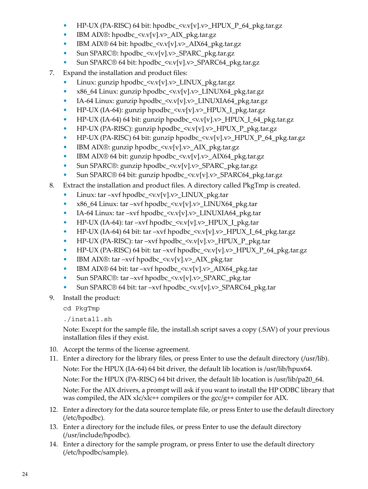- HP-UX (PA-RISC) 64 bit:  $h$ podbc\_ $\langle v.v[v].v \rangle$ \_HPUX\_P\_64\_pkg.tar.gz
- IBM AIX®: hpodbc  $\langle v.v[v], v \rangle$  AIX pkg.tar.gz
- IBM AIX® 64 bit: hpodbc\_<v.v[v].v>\_AIX64\_pkg.tar.gz
- Sun SPARC®: hpodbc\_<v.v[v].v>\_SPARC\_pkg.tar.gz
- Sun SPARC® 64 bit: hpodbc\_<v.v[v].v>\_SPARC64\_pkg.tar.gz
- 7. Expand the installation and product files:
	- Linux: gunzip hpodbc  $\langle v.v[v].v \rangle$  LINUX pkg.tar.gz
	- x86\_64 Linux: gunzip hpodbc\_<v.v[v].v>\_LINUX64\_pkg.tar.gz
	- IA-64 Linux: gunzip hpodbc\_<v.v[v].v>\_LINUXIA64\_pkg.tar.gz
	- HP-UX (IA-64): gunzip hpodbc\_<v.v[v].v>\_HPUX\_I\_pkg.tar.gz
	- HP-UX (IA-64) 64 bit: gunzip hpodbc  $\langle v.v[v], v \rangle$  HPUX I 64 pkg.tar.gz
	- HP-UX (PA-RISC): gunzip hpodbc\_<v.v[v].v>\_HPUX\_P\_pkg.tar.gz
	- HP-UX (PA-RISC) 64 bit: gunzip hpodbc\_<v.v[v].v>\_HPUX\_P\_64\_pkg.tar.gz
	- IBM AIX®: gunzip hpodbc\_<v.v[v].v>\_AIX\_pkg.tar.gz
	- IBM AIX® 64 bit: gunzip hpodbc\_<v.v[v].v>\_AIX64\_pkg.tar.gz
	- Sun SPARC®: gunzip hpodbc\_<v.v[v].v>\_SPARC\_pkg.tar.gz
	- Sun SPARC® 64 bit: gunzip hpodbc\_<v.v[v].v>\_SPARC64\_pkg.tar.gz
- 8. Extract the installation and product files. A directory called PkgTmp is created.
	- Linux: tar –xvf hpodbc  $\langle v.v[v].v \rangle$  LINUX pkg.tar
	- x86\_64 Linux: tar –xvf hpodbc  $\langle v.v[v], v \rangle$  LINUX64 pkg.tar
	- IA-64 Linux: tar –xvf hpodbc  $\langle v.v[v], v \rangle$  LINUXIA64 pkg.tar
	- HP-UX (IA-64): tar –xvf hpodbc  $\langle v.v[v], v \rangle$  HPUX I pkg.tar
	- HP-UX (IA-64) 64 bit: tar –xvf hpodbc  $\langle v.v[v], v \rangle$  HPUX I 64 pkg.tar.gz
	- HP-UX (PA-RISC): tar –xvf hpodbc  $\langle v.v[v], v \rangle$  HPUX\_P\_pkg.tar
	- HP-UX (PA-RISC) 64 bit: tar –xvf hpodbc  $\langle v.v[v], v \rangle$  HPUX P 64 pkg.tar.gz
	- IBM AIX®: tar –xvf hpodbc\_ $\langle v.v[v].v \rangle$ \_AIX\_pkg.tar
	- IBM AIX® 64 bit: tar –xvf hpodbc  $\langle v.v[v], v \rangle$  AIX64 pkg.tar
	- Sun SPARC®: tar –xvf hpodbc\_ $\langle v.v[v].v \rangle$ \_SPARC\_pkg.tar
	- Sun SPARC® 64 bit: tar –xvf hpodbc\_<v.v[v].v>\_SPARC64\_pkg.tar
- 9. Install the product:

cd PkgTmp

./install.sh

Note: Except for the sample file, the install.sh script saves a copy (.SAV) of your previous installation files if they exist.

- 10. Accept the terms of the license agreement.
- 11. Enter a directory for the library files, or press Enter to use the default directory (/usr/lib). Note: For the HPUX (IA-64) 64 bit driver, the default lib location is /usr/lib/hpux64. Note: For the HPUX (PA-RISC) 64 bit driver, the default lib location is /usr/lib/pa20\_64. Note: For the AIX drivers, a prompt will ask if you want to install the HP ODBC library that was compiled, the AIX xlc/xlc++ compilers or the gcc/g++ compiler for AIX.
- 12. Enter a directory for the data source template file, or press Enter to use the default directory (/etc/hpodbc).
- 13. Enter a directory for the include files, or press Enter to use the default directory (/usr/include/hpodbc).
- 14. Enter a directory for the sample program, or press Enter to use the default directory (/etc/hpodbc/sample).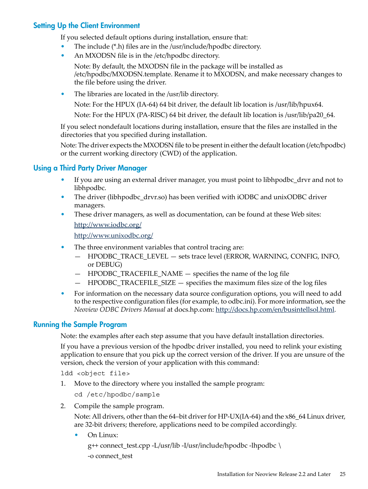#### Setting Up the Client Environment

<span id="page-24-0"></span>If you selected default options during installation, ensure that:

- The include (\*.h) files are in the /usr/include/hpodbc directory.
- An MXODSN file is in the /etc/hpodbc directory.

Note: By default, the MXODSN file in the package will be installed as /etc/hpodbc/MXODSN.template. Rename it to MXODSN, and make necessary changes to the file before using the driver.

• The libraries are located in the /usr/lib directory.

Note: For the HPUX (IA-64) 64 bit driver, the default lib location is /usr/lib/hpux64.

Note: For the HPUX (PA-RISC) 64 bit driver, the default lib location is /usr/lib/pa20\_64.

If you select nondefault locations during installation, ensure that the files are installed in the directories that you specified during installation.

<span id="page-24-1"></span>Note: The driver expects the MXODSN file to be present in either the default location (/etc/hpodbc) or the current working directory (CWD) of the application.

#### Using a Third Party Driver Manager

- If you are using an external driver manager, you must point to libhpodbc\_drvr and not to libhpodbc.
- The driver (libhpodbc drvr.so) has been verified with iODBC and unixODBC driver managers.
- These driver managers, as well as documentation, can be found at these Web sites: <http://www.iodbc.org/> <http://www.unixodbc.org/>
- The three environment variables that control tracing are:
	- HPODBC\_TRACE\_LEVEL sets trace level (ERROR, WARNING, CONFIG, INFO, or DEBUG)
	- HPODBC\_TRACEFILE\_NAME specifies the name of the log file
	- HPODBC\_TRACEFILE\_SIZE specifies the maximum files size of the log files
- <span id="page-24-2"></span>• For information on the necessary data source configuration options, you will need to add to the respective configuration files (for example, to odbc.ini). For more information, see the *Neoview ODBC Drivers Manual* at docs.hp.com: [http://docs.hp.com/en/busintellsol.html.](http://docs.hp.com/en/busintellsol.html)

#### Running the Sample Program

Note: the examples after each step assume that you have default installation directories.

If you have a previous version of the hpodbc driver installed, you need to relink your existing application to ensure that you pick up the correct version of the driver. If you are unsure of the version, check the version of your application with this command:

ldd <object file>

1. Move to the directory where you installed the sample program:

cd /etc/hpodbc/sample

2. Compile the sample program.

Note: All drivers, other than the 64–bit driver for HP-UX(IA-64) and the  $x86\,64$  Linux driver, are 32-bit drivers; therefore, applications need to be compiled accordingly.

• On Linux:

g++ connect\_test.cpp -L/usr/lib -I/usr/include/hpodbc -lhpodbc \ -o connect\_test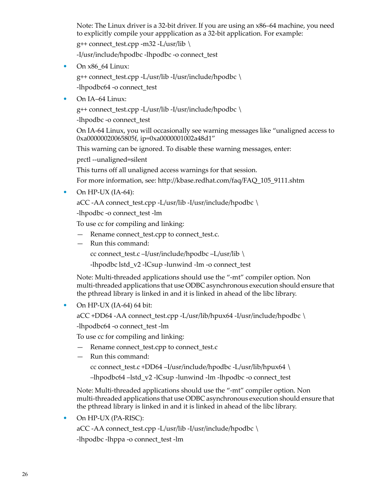Note: The Linux driver is a 32-bit driver. If you are using an x86–64 machine, you need to explicitly compile your appplication as a 32-bit application. For example:

 $g++$  connect\_test.cpp -m32 -L/usr/lib \

-I/usr/include/hpodbc -lhpodbc -o connect\_test

• On x86\_64 Linux:

g++ connect\_test.cpp -L/usr/lib -I/usr/include/hpodbc \ -lhpodbc64 -o connect\_test

• On IA-64 Linux:

g++ connect\_test.cpp -L/usr/lib -I/usr/include/hpodbc  $\setminus$ 

-lhpodbc -o connect\_test

On IA-64 Linux, you will occasionally see warning messages like "unaligned access to 0xa00000020065805f, ip=0xa0000001002a48d1"

This warning can be ignored. To disable these warning messages, enter:

prctl --unaligned=silent

This turns off all unaligned access warnings for that session.

For more information, see: http://kbase.redhat.com/faq/FAQ\_105\_9111.shtm

• On HP-UX  $(IA-64)$ :

aCC -AA connect\_test.cpp -L/usr/lib -I/usr/include/hpodbc \

-lhpodbc -o connect\_test -lm

To use cc for compiling and linking:

- Rename connect\_test.cpp to connect\_test.c.
- Run this command:
	- cc connect\_test.c –I/usr/include/hpodbc –L/usr/lib \

-lhpodbc lstd\_v2 -lCsup -lunwind -lm -o connect\_test

Note: Multi-threaded applications should use the "-mt" compiler option. Non multi-threaded applications that use ODBC asynchronous execution should ensure that the pthread library is linked in and it is linked in ahead of the libc library.

• On HP-UX (IA-64) 64 bit:

aCC +DD64 -AA connect\_test.cpp -L/usr/lib/hpux64 -I/usr/include/hpodbc \

-lhpodbc64 -o connect\_test -lm

To use cc for compiling and linking:

- Rename connect\_test.cpp to connect\_test.c
- Run this command:

cc connect\_test.c +DD64 –I/usr/include/hpodbc -L/usr/lib/hpux64 \

–lhpodbc64 –lstd\_v2 -lCsup -lunwind -lm -lhpodbc -o connect\_test

Note: Multi-threaded applications should use the "-mt" compiler option. Non multi-threaded applications that use ODBC asynchronous execution should ensure that the pthread library is linked in and it is linked in ahead of the libc library.

• On HP-UX (PA-RISC):

aCC -AA connect\_test.cpp -L/usr/lib -I/usr/include/hpodbc \ -lhpodbc -lhppa -o connect\_test -lm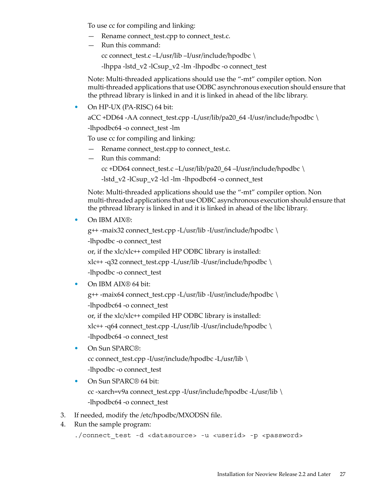To use cc for compiling and linking:

- Rename connect\_test.cpp to connect\_test.c.
- Run this command:

cc connect\_test.c –L/usr/lib –I/usr/include/hpodbc \

-lhppa -lstd\_v2 -lCsup\_v2 -lm -lhpodbc -o connect\_test

Note: Multi-threaded applications should use the "-mt" compiler option. Non multi-threaded applications that use ODBC asynchronous execution should ensure that the pthread library is linked in and it is linked in ahead of the libc library.

• On HP-UX (PA-RISC) 64 bit:

aCC +DD64 -AA connect\_test.cpp -L/usr/lib/pa20\_64 -I/usr/include/hpodbc \

-lhpodbc64 -o connect\_test -lm

To use cc for compiling and linking:

- Rename connect\_test.cpp to connect\_test.c.
- Run this command:
	- cc +DD64 connect\_test.c –L/usr/lib/pa20\_64 –I/usr/include/hpodbc \

-lstd\_v2 -lCsup\_v2 -lcl -lm -lhpodbc64 -o connect\_test

Note: Multi-threaded applications should use the "-mt" compiler option. Non multi-threaded applications that use ODBC asynchronous execution should ensure that the pthread library is linked in and it is linked in ahead of the libc library.

• On IBM AIX®:

g++ -maix32 connect\_test.cpp -L/usr/lib -I/usr/include/hpodbc \ -lhpodbc -o connect test or, if the xlc/xlc++ compiled HP ODBC library is installed: xlc++ -q32 connect\_test.cpp -L/usr/lib -I/usr/include/hpodbc \ -lhpodbc -o connect test

• On IBM AIX<sup>®</sup> 64 bit:

g++ -maix64 connect\_test.cpp -L/usr/lib -I/usr/include/hpodbc \ -lhpodbc64 -o connect\_test

or, if the xlc/xlc++ compiled HP ODBC library is installed:

xlc++ -q64 connect\_test.cpp -L/usr/lib -I/usr/include/hpodbc \ -lhpodbc64 -o connect\_test

- On Sun SPARC®: cc connect\_test.cpp -I/usr/include/hpodbc -L/usr/lib \ -lhpodbc -o connect\_test
- On Sun SPARC<sup>®</sup> 64 bit: cc -xarch=v9a connect\_test.cpp -I/usr/include/hpodbc -L/usr/lib \ -lhpodbc64 -o connect\_test
- 3. If needed, modify the /etc/hpodbc/MXODSN file.
- 4. Run the sample program:

./connect test -d <datasource> -u <userid> -p <password>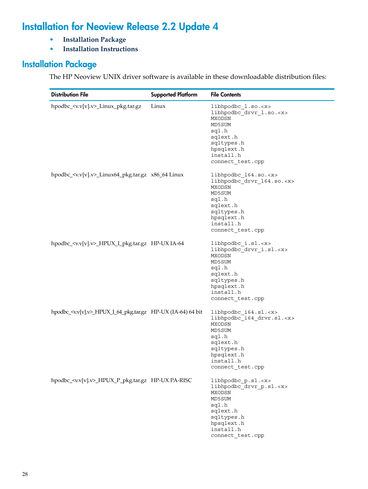# Installation for Neoview Release 2.2 Update 4

- <span id="page-27-0"></span>• **[Installation](#page-27-1) Package**
- <span id="page-27-1"></span>• **Installation [Instructions](#page-29-0)**

# Installation Package

The HP Neoview UNIX driver software is available in these downloadable distribution files:

| <b>Distribution File</b>                                                | <b>Supported Platform</b> | <b>File Contents</b>                                                                                                                                                      |
|-------------------------------------------------------------------------|---------------------------|---------------------------------------------------------------------------------------------------------------------------------------------------------------------------|
| hpodbc_ <v.v[v].v>_Linux_pkg.tar.gz</v.v[v].v>                          | Linux                     | libhpodbc l.so. <x><br/>libhpodbc_drvr_1.so.<x><br/>MXODSN<br/>MD5SUM<br/>sql.h<br/>sqlext.h<br/>sqltypes.h<br/>hpsqlext.h<br/>install.h<br/>connect test.cpp</x></x>     |
| hpodbc_ <v.v[v].v>_Linux64_pkg.tar.gz x86_64 Linux</v.v[v].v>           |                           | libhpodbc 164.so. <x><br/>libhpodbc_drvr_164.so.<x><br/>MXODSN<br/>MD5SUM<br/>sql.h<br/>sqlext.h<br/>sqltypes.h<br/>hpsqlext.h<br/>install.h<br/>connect test.cpp</x></x> |
| hpodbc_ <v.v[v].v>_HPUX_I_pkg.tar.gz HP-UX IA-64</v.v[v].v>             |                           | libhpodbc_i.sl. <x><br/>libhpodbc_drvr_i.sl.<x><br/>MXODSN<br/>MD5SUM<br/>sql.h<br/>sqlext.h<br/>sqltypes.h<br/>hpsqlext.h<br/>install.h<br/>connect_test.cpp</x></x>     |
| hpodbc_ <v.v[v].v>_HPUX_I_64_pkg.tar.gz HP-UX (IA-64) 64 bit</v.v[v].v> |                           | libhpodbc_i64.sl. <x><br/>libhpodbc_i64_drvr.sl.<x><br/>MXODSN<br/>MD5SUM<br/>sql.h<br/>sqlext.h<br/>sqltypes.h<br/>hpsqlext.h<br/>install.h<br/>connect test.cpp</x></x> |
| hpodbc_ <v.v[v].v>_HPUX_P_pkg.tar.gz HP-UX PA-RISC</v.v[v].v>           |                           | libhpodbc_p.sl. <x><br/>libhpodbc_drvr_p.sl.<x><br/>MXODSN<br/>MD5SUM<br/>sql.h<br/>sqlext.h<br/>sqltypes.h<br/>hpsqlext.h<br/>install.h<br/>connect_test.cpp</x></x>     |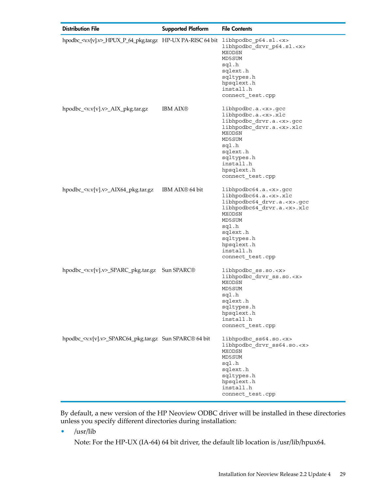| <b>Distribution File</b>                                                                         | <b>Supported Platform</b>   | <b>File Contents</b>                                                                                                                                                                                                                         |
|--------------------------------------------------------------------------------------------------|-----------------------------|----------------------------------------------------------------------------------------------------------------------------------------------------------------------------------------------------------------------------------------------|
| hpodbc_ <v.v[v].v>_HPUX_P_64_pkg.tar.gz HP-UX PA-RISC 64 bit libhpodbc_p64.sl.<x></x></v.v[v].v> |                             | libhpodbc_drvr_p64.sl. <x><br/>MXODSN<br/>MD5SUM<br/>sql.h<br/>sqlext.h<br/>sqltypes.h<br/>hpsqlext.h<br/>install.h<br/>connect_test.cpp</x>                                                                                                 |
| hpodbc_ <v.v[v].v>_AIX_pkg.tar.gz</v.v[v].v>                                                     | <b>IBM AIX®</b>             | $libhpodbc.a. < x>. <$ gcc<br>libhpodbc.a. <x>.xlc<br/>libhpodbc drvr.a.<x>.gcc<br/>libhpodbc_drvr.a.<x>.xlc<br/>MXODSN<br/>MD5SUM<br/>sql.h<br/>sqlext.h<br/>sqltypes.h<br/>install.h<br/>hpsqlext.h<br/>connect test.cpp</x></x></x>       |
| hpodbc_ <v.v[v].v>_AIX64_pkg.tar.gz</v.v[v].v>                                                   | IBM AIX <sup>®</sup> 64 bit | libhpodbc64.a. <x>.gcc<br/>libhpodbc64.a.<x>.xlc<br/>libhpodbc64_drvr.a.<x>.gcc<br/>libhpodbc64_drvr.a.<x>.xlc<br/>MXODSN<br/>MD5SUM<br/>sql.h<br/>sqlext.h<br/>sqltypes.h<br/>hpsqlext.h<br/>install.h<br/>connect_test.cpp</x></x></x></x> |
| hpodbc_ <v.v[v].v>_SPARC_pkg.tar.gz Sun SPARC®</v.v[v].v>                                        |                             | libhpodbc ss.so. <x><br/>libhpodbc drvr ss.so.<x><br/>MXODSN<br/>MD5SUM<br/>sql.h<br/>sqlext.h<br/>sqltypes.h<br/>hpsqlext.h<br/>install.h<br/>connect test.cpp</x></x>                                                                      |
| hpodbc_ <v.v[v].v>_SPARC64_pkg.tar.gz Sun SPARC® 64 bit</v.v[v].v>                               |                             | libhpodbc ss64.so. <x><br/>libhpodbc drvr ss64.so.<x><br/>MXODSN<br/>MD5SUM<br/>sql.h<br/>sqlext.h<br/>sqltypes.h<br/>hpsqlext.h<br/>install.h<br/>connect_test.cpp</x></x>                                                                  |

By default, a new version of the HP Neoview ODBC driver will be installed in these directories unless you specify different directories during installation:

• /usr/lib

Note: For the HP-UX (IA-64) 64 bit driver, the default lib location is /usr/lib/hpux64.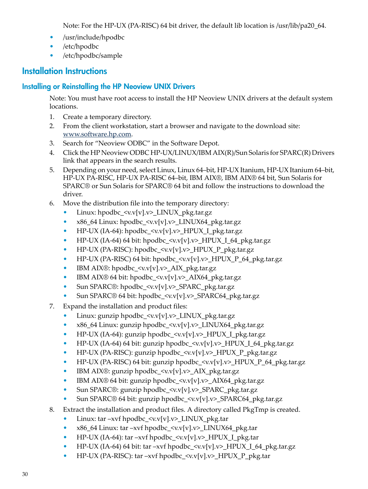Note: For the HP-UX (PA-RISC) 64 bit driver, the default lib location is /usr/lib/pa20\_64.

- /usr/include/hpodbc
- /etc/hpodbc
- <span id="page-29-1"></span><span id="page-29-0"></span>• /etc/hpodbc/sample

# Installation Instructions

# Installing or Reinstalling the HP Neoview UNIX Drivers

Note: You must have root access to install the HP Neoview UNIX drivers at the default system locations.

- 1. Create a temporary directory.
- 2. From the client workstation, start a browser and navigate to the download site: [www.software.hp.com](http://www.software.hp.com).
- 3. Search for "Neoview ODBC" in the Software Depot.
- 4. Click the HP Neoview ODBC HP-UX/LINUX/IBM AIX(R)/Sun Solaris for SPARC(R) Drivers link that appears in the search results.
- 5. Depending on your need, select Linux, Linux 64–bit, HP-UX Itanium, HP-UX Itanium 64–bit, HP-UX PA-RISC, HP-UX PA-RISC 64–bit, IBM AIX®, IBM AIX® 64 bit, Sun Solaris for SPARC® or Sun Solaris for SPARC® 64 bit and follow the instructions to download the driver.
- 6. Move the distribution file into the temporary directory:
	- Linux: hpodbc  $\langle v.v[v], v \rangle$  LINUX pkg.tar.gz
	- x86\_64 Linux: hpodbc\_<v.v[v].v>\_LINUX64\_pkg.tar.gz
	- HP-UX (IA-64): hpodbc\_<v.v[v].v>\_HPUX\_I\_pkg.tar.gz
	- HP-UX (IA-64) 64 bit: hpodbc\_ $\langle v.v[v].v \rangle$ \_HPUX\_I\_64\_pkg.tar.gz
	- HP-UX (PA-RISC): hpodbc\_<v.v[v].v>\_HPUX\_P\_pkg.tar.gz
	- HP-UX (PA-RISC) 64 bit:  $h$ podbc\_ $\langle v.v[v].v \rangle$ \_HPUX\_P\_64\_pkg.tar.gz
	- IBM AIX®: hpodbc\_<v.v[v].v>\_AIX\_pkg.tar.gz
	- IBM AIX® 64 bit: hpodbc\_<v.v[v].v>\_AIX64\_pkg.tar.gz
	- Sun SPARC®: hpodbc\_<v.v[v].v>\_SPARC\_pkg.tar.gz
	- Sun SPARC® 64 bit: hpodbc\_<v.v[v].v>\_SPARC64\_pkg.tar.gz
- 7. Expand the installation and product files:
	- Linux: gunzip hpodbc\_<v.v[v].v>\_LINUX\_pkg.tar.gz
	- x86\_64 Linux: gunzip hpodbc\_<v.v[v].v>\_LINUX64\_pkg.tar.gz
	- HP-UX (IA-64): gunzip hpodbc\_<v.v[v].v>\_HPUX\_I\_pkg.tar.gz
	- HP-UX (IA-64) 64 bit: gunzip hpodbc  $\langle v.v[v], v \rangle$  HPUX I 64 pkg.tar.gz
	- HP-UX (PA-RISC): gunzip hpodbc\_<v.v[v].v>\_HPUX\_P\_pkg.tar.gz
	- HP-UX (PA-RISC) 64 bit: gunzip hpodbc\_<v.v[v].v>\_HPUX\_P\_64\_pkg.tar.gz
	- IBM AIX®: gunzip hpodbc\_<v.v[v].v>\_AIX\_pkg.tar.gz
	- IBM AIX® 64 bit: gunzip hpodbc  $\langle v.\mathbf{v}[\mathbf{v}]$ . $v \rangle$  AIX64 pkg.tar.gz
	- Sun SPARC®: gunzip hpodbc\_<v.v[v].v>\_SPARC\_pkg.tar.gz
	- Sun SPARC® 64 bit: gunzip hpodbc\_<v.v[v].v>\_SPARC64\_pkg.tar.gz
- 8. Extract the installation and product files. A directory called PkgTmp is created.
	- Linux: tar –xvf hpodbc  $\langle v.v[v].v \rangle$  LINUX pkg.tar
	- x86\_64 Linux: tar –xvf hpodbc\_<v.v[v].v>\_LINUX64\_pkg.tar
	- HP-UX (IA-64): tar –xvf hpodbc\_ $\langle v.v[v].v \rangle$ \_HPUX\_I\_pkg.tar
	- HP-UX (IA-64) 64 bit: tar –xvf hpodbc\_<v.v[v].v>\_HPUX\_I\_64\_pkg.tar.gz
	- HP-UX (PA-RISC): tar –xvf hpodbc\_ $\langle v.v[v].v \rangle$ \_HPUX\_P\_pkg.tar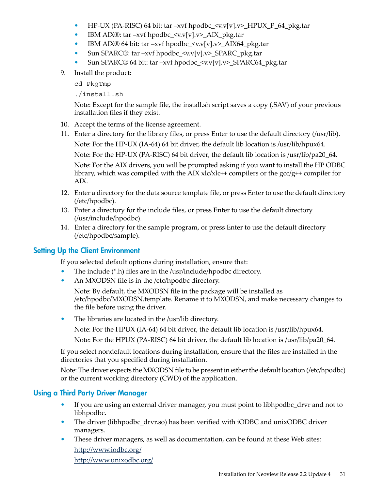- HP-UX (PA-RISC) 64 bit: tar –xvf hpodbc\_ $\langle v.v[v], v \rangle$ \_HPUX\_P\_64\_pkg.tar
- IBM AIX®: tar –xvf hpodbc\_<v.v[v].v>\_AIX\_pkg.tar
- IBM AIX® 64 bit: tar –xvf hpodbc\_<v.v[v].v>\_AIX64\_pkg.tar
- Sun SPARC®: tar –xvf hpodbc\_<v.v[v].v>\_SPARC\_pkg.tar
- Sun SPARC® 64 bit: tar –xvf hpodbc\_<v.v[v].v>\_SPARC64\_pkg.tar
- 9. Install the product:

cd PkgTmp

./install.sh

Note: Except for the sample file, the install.sh script saves a copy (.SAV) of your previous installation files if they exist.

- 10. Accept the terms of the license agreement.
- 11. Enter a directory for the library files, or press Enter to use the default directory (/usr/lib). Note: For the HP-UX (IA-64) 64 bit driver, the default lib location is /usr/lib/hpux64. Note: For the HP-UX (PA-RISC) 64 bit driver, the default lib location is /usr/lib/pa20\_64.

Note: For the AIX drivers, you will be prompted asking if you want to install the HP ODBC library, which was compiled with the AIX  $xlc/xlc++$  compilers or the  $\text{gcc/g++}$  compiler for AIX.

- 12. Enter a directory for the data source template file, or press Enter to use the default directory (/etc/hpodbc).
- 13. Enter a directory for the include files, or press Enter to use the default directory (/usr/include/hpodbc).
- <span id="page-30-0"></span>14. Enter a directory for the sample program, or press Enter to use the default directory (/etc/hpodbc/sample).

### Setting Up the Client Environment

If you selected default options during installation, ensure that:

- The include (\*.h) files are in the /usr/include/hpodbc directory.
- An MXODSN file is in the /etc/hpodbc directory.

Note: By default, the MXODSN file in the package will be installed as /etc/hpodbc/MXODSN.template. Rename it to MXODSN, and make necessary changes to the file before using the driver.

- The libraries are located in the /usr/lib directory.
	- Note: For the HPUX (IA-64) 64 bit driver, the default lib location is /usr/lib/hpux64.

Note: For the HPUX (PA-RISC) 64 bit driver, the default lib location is /usr/lib/pa20\_64.

<span id="page-30-1"></span>If you select nondefault locations during installation, ensure that the files are installed in the directories that you specified during installation.

Note: The driver expects the MXODSN file to be present in either the default location (/etc/hpodbc) or the current working directory (CWD) of the application.

### Using a Third Party Driver Manager

- If you are using an external driver manager, you must point to libhpodbc\_drvr and not to libhpodbc.
- The driver (libhpodbc drvr.so) has been verified with iODBC and unixODBC driver managers.
- These driver managers, as well as documentation, can be found at these Web sites: <http://www.iodbc.org/> <http://www.unixodbc.org/>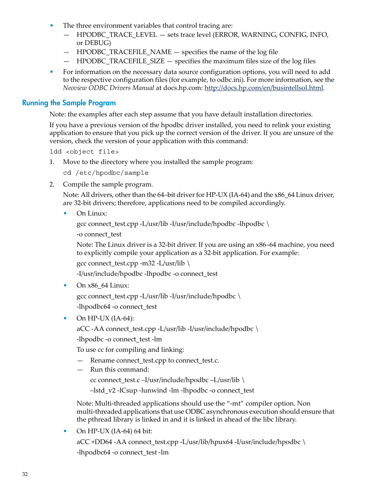- The three environment variables that control tracing are:
	- HPODBC\_TRACE\_LEVEL sets trace level (ERROR, WARNING, CONFIG, INFO, or DEBUG)
	- $-$  HPODBC TRACEFILE NAME  $-$  specifies the name of the log file
	- $-$  HPODBC TRACEFILE SIZE  $-$  specifies the maximum files size of the log files
- <span id="page-31-0"></span>• For information on the necessary data source configuration options, you will need to add to the respective configuration files (for example, to odbc.ini). For more information, see the *Neoview ODBC Drivers Manual* at docs.hp.com: [http://docs.hp.com/en/busintellsol.html.](http://docs.hp.com/en/busintellsol.html)

#### Running the Sample Program

Note: the examples after each step assume that you have default installation directories.

If you have a previous version of the hpodbc driver installed, you need to relink your existing application to ensure that you pick up the correct version of the driver. If you are unsure of the version, check the version of your application with this command:

ldd <object file>

1. Move to the directory where you installed the sample program:

cd /etc/hpodbc/sample

2. Compile the sample program.

Note: All drivers, other than the 64–bit driver for HP-UX (IA-64) and the  $x86\,64$  Linux driver, are 32-bit drivers; therefore, applications need to be compiled accordingly.

• On Linux:

```
gcc connect_test.cpp -L/usr/lib -I/usr/include/hpodbc -lhpodbc \
```
-o connect\_test

Note: The Linux driver is a 32-bit driver. If you are using an x86–64 machine, you need to explicitly compile your application as a 32-bit application. For example:

gcc connect\_test.cpp -m32 -L/usr/lib \

-I/usr/include/hpodbc -lhpodbc -o connect\_test

• On x86\_64 Linux:

gcc connect test.cpp -L/usr/lib -I/usr/include/hpodbc  $\setminus$ 

-lhpodbc64 -o connect\_test

• On HP-UX  $(IA-64)$ :

aCC -AA connect\_test.cpp -L/usr/lib -I/usr/include/hpodbc \

-lhpodbc -o connect\_test -lm

To use cc for compiling and linking:

- Rename connect\_test.cpp to connect\_test.c.
- Run this command:

cc connect\_test.c –I/usr/include/hpodbc –L/usr/lib \

–lstd\_v2 -lCsup -lunwind -lm -lhpodbc -o connect\_test

Note: Multi-threaded applications should use the "-mt" compiler option. Non multi-threaded applications that use ODBC asynchronous execution should ensure that the pthread library is linked in and it is linked in ahead of the libc library.

• On HP-UX (IA-64) 64 bit:

aCC +DD64 -AA connect\_test.cpp -L/usr/lib/hpux64 -I/usr/include/hpodbc \ -lhpodbc64 -o connect\_test -lm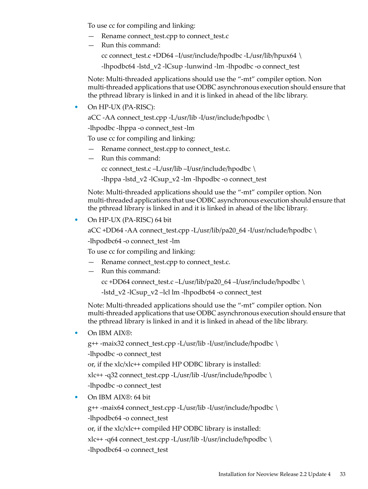To use cc for compiling and linking:

- Rename connect\_test.cpp to connect\_test.c
- Run this command:

cc connect\_test.c +DD64 –I/usr/include/hpodbc -L/usr/lib/hpux64 \

-lhpodbc64 -lstd\_v2 -lCsup -lunwind -lm -lhpodbc -o connect\_test

Note: Multi-threaded applications should use the "-mt" compiler option. Non multi-threaded applications that use ODBC asynchronous execution should ensure that the pthread library is linked in and it is linked in ahead of the libc library.

• On HP-UX (PA-RISC):

aCC -AA connect\_test.cpp -L/usr/lib -I/usr/include/hpodbc \

-lhpodbc -lhppa -o connect\_test -lm

To use cc for compiling and linking:

- Rename connect\_test.cpp to connect\_test.c.
- Run this command:

cc connect\_test.c –L/usr/lib –I/usr/include/hpodbc \

-lhppa -lstd\_v2 -lCsup\_v2 -lm -lhpodbc -o connect\_test

Note: Multi-threaded applications should use the "-mt" compiler option. Non multi-threaded applications that use ODBC asynchronous execution should ensure that the pthread library is linked in and it is linked in ahead of the libc library.

• On HP-UX (PA-RISC) 64 bit

```
aCC +DD64 -AA connect_test.cpp -L/usr/lib/pa20_64 -I/usr/nclude/hpodbc \
```
-lhpodbc64 -o connect\_test -lm

To use cc for compiling and linking:

- Rename connect\_test.cpp to connect\_test.c.
- Run this command:

cc +DD64 connect\_test.c –L/usr/lib/pa20\_64 –I/usr/include/hpodbc \

-lstd\_v2 -lCsup\_v2 –lcl lm -lhpodbc64 -o connect\_test

Note: Multi-threaded applications should use the "-mt" compiler option. Non multi-threaded applications that use ODBC asynchronous execution should ensure that the pthread library is linked in and it is linked in ahead of the libc library.

• On IBM AIX®:

g++ -maix32 connect\_test.cpp -L/usr/lib -I/usr/include/hpodbc \ -lhpodbc -o connect\_test or, if the xlc/xlc++ compiled HP ODBC library is installed: xlc++ -q32 connect\_test.cpp -L/usr/lib -I/usr/include/hpodbc \ -lhpodbc -o connect\_test

• On IBM AIX®: 64 bit

g++ -maix64 connect\_test.cpp -L/usr/lib -I/usr/include/hpodbc \ -lhpodbc64 -o connect\_test

or, if the xlc/xlc++ compiled HP ODBC library is installed:

xlc++ -q64 connect\_test.cpp -L/usr/lib -I/usr/include/hpodbc \

-lhpodbc64 -o connect\_test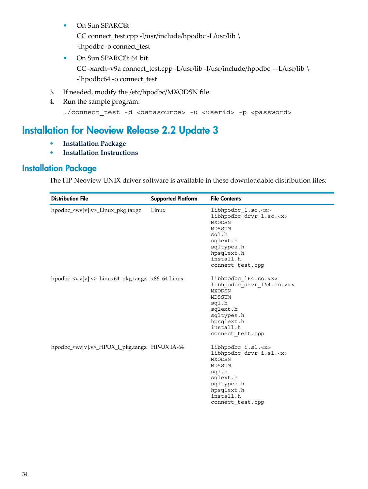- On Sun SPARC®: CC connect\_test.cpp -I/usr/include/hpodbc -L/usr/lib \ -lhpodbc -o connect\_test
- On Sun SPARC®: 64 bit CC -xarch=v9a connect\_test.cpp -L/usr/lib -I/usr/include/hpodbc —L/usr/lib \ -lhpodbc64 -o connect\_test
- 3. If needed, modify the /etc/hpodbc/MXODSN file.
- <span id="page-33-0"></span>4. Run the sample program:

```
./connect_test -d <datasource> -u <userid> -p <password>
```
# Installation for Neoview Release 2.2 Update 3

- <span id="page-33-1"></span>• **[Installation](#page-33-1) Package**
- **Installation [Instructions](#page-35-0)**

# Installation Package

The HP Neoview UNIX driver software is available in these downloadable distribution files:

| <b>Distribution File</b>                                             | <b>Supported Platform</b> | <b>File Contents</b>                                                                                                                                                             |
|----------------------------------------------------------------------|---------------------------|----------------------------------------------------------------------------------------------------------------------------------------------------------------------------------|
| hpodbc_ <v.v[v].v>_Linux_pkg.tar.gz</v.v[v].v>                       | Linux                     | libhpodbc l.so. <x><br/>libhpodbc drvr 1.so.<x><br/><b>MXODSN</b><br/>MD5SUM<br/>sql.h<br/>sqlext.h<br/>sqltypes.h<br/>hpsqlext.h<br/>install.h<br/>connect test.cpp</x></x>     |
| hpodbc_ $\langle v.v[v], v \rangle$ _Linux64_pkg.tar.gz x86_64 Linux |                           | libhpodbc 164.so. <x><br/>libhpodbc drvr 164.so.<x><br/><b>MXODSN</b><br/>MD5SUM<br/>sql.h<br/>sqlext.h<br/>sqltypes.h<br/>hpsqlext.h<br/>install.h<br/>connect test.cpp</x></x> |
| hpodbc_ <v.v[v].v>_HPUX_I_pkg.tar.gz HP-UX IA-64</v.v[v].v>          |                           | libhpodbc i.sl. <x><br/>libhpodbc_drvr_i.sl.<x><br/><b>MXODSN</b><br/>MD5SUM<br/>sql.h<br/>sqlext.h<br/>sqltypes.h<br/>hpsqlext.h<br/>install.h<br/>connect test.cpp</x></x>     |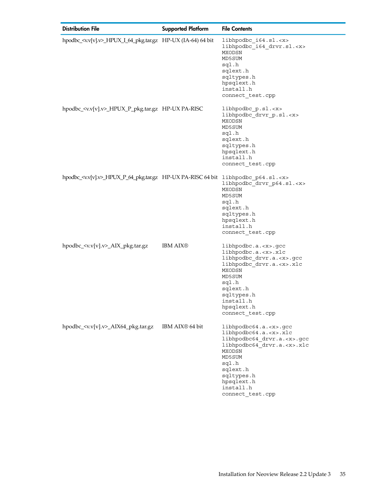| <b>Distribution File</b>                                                                         | <b>Supported Platform</b>   | <b>File Contents</b>                                                                                                                                                                                                                         |
|--------------------------------------------------------------------------------------------------|-----------------------------|----------------------------------------------------------------------------------------------------------------------------------------------------------------------------------------------------------------------------------------------|
| hpodbc_ <v.v[v].v>_HPUX_I_64_pkg.tar.gz HP-UX (IA-64) 64 bit</v.v[v].v>                          |                             | libhpodbc_i64.sl. <x><br/>libhpodbc_i64_drvr.sl.<x><br/>MXODSN<br/>MD5SUM<br/>sql.h<br/>sqlext.h<br/>sqltypes.h<br/>hpsqlext.h<br/>install.h<br/>connect test.cpp</x></x>                                                                    |
| hpodbc_ <v.v[v].v>_HPUX_P_pkg.tar.gz HP-UX PA-RISC</v.v[v].v>                                    |                             | libhpodbc_p.sl. <x><br/>libhpodbc_drvr_p.sl.<x><br/>MXODSN<br/>MD5SUM<br/>sql.h<br/>sqlext.h<br/>sqltypes.h<br/>hpsqlext.h<br/>install.h<br/>connect_test.cpp</x></x>                                                                        |
| hpodbc_ <w.v[v].v>_HPUX_P_64_pkg.tar.gz HP-UX PA-RISC 64 bit libhpodbc_p64.sl.<x></x></w.v[v].v> |                             | libhpodbc drvr p64.sl. <x><br/>MXODSN<br/>MD5SUM<br/>sql.h<br/>sqlext.h<br/>sqltypes.h<br/>hpsqlext.h<br/>install.h<br/>connect test.cpp</x>                                                                                                 |
| hpodbc_ <v.v[v].v>_AIX_pkg.tar.gz</v.v[v].v>                                                     | <b>IBM AIX®</b>             | $libhpodbc.a. < x>. <$ gcc<br>libhpodbc.a. <x>.xlc<br/>libhpodbc_drvr.a.<x>.gcc<br/>libhpodbc drvr.a.<x>.xlc<br/>MXODSN<br/>MD5SUM<br/>sql.h<br/>sqlext.h<br/>sqltypes.h<br/>install.h<br/>hpsqlext.h<br/>connect_test.cpp</x></x></x>       |
| hpodbc_ <v.v[v].v>_AIX64_pkg.tar.gz</v.v[v].v>                                                   | IBM AIX <sup>®</sup> 64 bit | libhpodbc64.a. <x>.gcc<br/>libhpodbc64.a.<x>.xlc<br/>libhpodbc64_drvr.a.<x>.gcc<br/>libhpodbc64_drvr.a.<x>.xlc<br/>MXODSN<br/>MD5SUM<br/>sql.h<br/>sqlext.h<br/>sqltypes.h<br/>hpsqlext.h<br/>install.h<br/>connect_test.cpp</x></x></x></x> |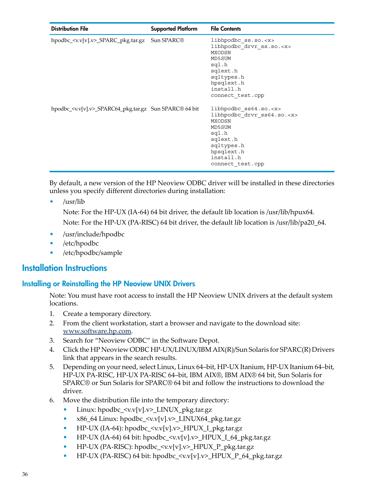| <b>Distribution File</b>                                           | <b>Supported Platform</b> | <b>File Contents</b>                                                                                                                                                        |
|--------------------------------------------------------------------|---------------------------|-----------------------------------------------------------------------------------------------------------------------------------------------------------------------------|
| hpodbc_ <v.v[v].v>_SPARC_pkg.tar.gz Sun SPARC®</v.v[v].v>          |                           | libhpodbc ss.so. <x><br/>libhpodbc_drvr_ss.so.<x><br/>MXODSN<br/>MD5SUM<br/>sql.h<br/>sqlext.h<br/>sqltypes.h<br/>hpsqlext.h<br/>install.h<br/>connect test.cpp</x></x>     |
| hpodbc_ <v.v[v].v>_SPARC64_pkg.tar.gz Sun SPARC® 64 bit</v.v[v].v> |                           | libhpodbc ss64.so. <x><br/>libhpodbc drvr ss64.so.<x><br/>MXODSN<br/>MD5SUM<br/>sql.h<br/>sqlext.h<br/>sqltypes.h<br/>hpsglext.h<br/>install.h<br/>connect test.cpp</x></x> |

By default, a new version of the HP Neoview ODBC driver will be installed in these directories unless you specify different directories during installation:

• /usr/lib

Note: For the HP-UX (IA-64) 64 bit driver, the default lib location is /usr/lib/hpux64. Note: For the HP-UX (PA-RISC) 64 bit driver, the default lib location is /usr/lib/pa20\_64.

- <span id="page-35-0"></span>• /usr/include/hpodbc
- /etc/hpodbc
- <span id="page-35-1"></span>• /etc/hpodbc/sample

### Installation Instructions

#### Installing or Reinstalling the HP Neoview UNIX Drivers

Note: You must have root access to install the HP Neoview UNIX drivers at the default system locations.

- 1. Create a temporary directory.
- 2. From the client workstation, start a browser and navigate to the download site: [www.software.hp.com](http://www.software.hp.com).
- 3. Search for "Neoview ODBC" in the Software Depot.
- 4. Click the HP Neoview ODBC HP-UX/LINUX/IBM AIX(R)/Sun Solaris for SPARC(R) Drivers link that appears in the search results.
- 5. Depending on your need, select Linux, Linux 64–bit, HP-UX Itanium, HP-UX Itanium 64–bit, HP-UX PA-RISC, HP-UX PA-RISC 64–bit, IBM AIX®, IBM AIX® 64 bit, Sun Solaris for SPARC® or Sun Solaris for SPARC® 64 bit and follow the instructions to download the driver.
- 6. Move the distribution file into the temporary directory:
	- Linux: hpodbc  $\langle v.v[v].v \rangle$  LINUX pkg.tar.gz
	- x86\_64 Linux: hpodbc\_ <v.v[v].v>\_LINUX64\_pkg.tar.gz
	- HP-UX (IA-64): hpodbc  $\langle v.v[v], v \rangle$  HPUX I\_pkg.tar.gz
	- HP-UX (IA-64) 64 bit: hpodbc  $\langle v.v[v].v \rangle$  HPUX I 64 pkg.tar.gz
	- HP-UX (PA-RISC): hpodbc\_<v.v[v].v>\_HPUX\_P\_pkg.tar.gz
	- HP-UX (PA-RISC) 64 bit: hpodbc  $\langle v.v[v], v \rangle$  HPUX P 64 pkg.tar.gz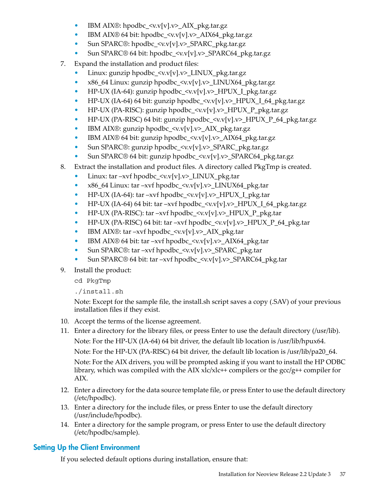- IBM AIX®: hpodbc\_<v.v[v].v>\_AIX\_pkg.tar.gz
- IBM AIX® 64 bit: hpodbc\_<v.v[v].v>\_AIX64\_pkg.tar.gz
- Sun SPARC®: hpodbc\_<v.v[v].v>\_SPARC\_pkg.tar.gz
- Sun SPARC® 64 bit: hpodbc\_<v.v[v].v>\_SPARC64\_pkg.tar.gz
- 7. Expand the installation and product files:
	- Linux: gunzip hpodbc\_<v.v[v].v>\_LINUX\_pkg.tar.gz
	- x86\_64 Linux: gunzip hpodbc  $\langle v.v[v], v \rangle$  LINUX64 pkg.tar.gz
	- HP-UX (IA-64): gunzip hpodbc\_<v.v[v].v>\_HPUX\_I\_pkg.tar.gz
	- HP-UX (IA-64) 64 bit: gunzip hpodbc\_<v.v[v].v>\_HPUX\_I\_64\_pkg.tar.gz
	- HP-UX (PA-RISC): gunzip hpodbc\_<v.v[v].v>\_HPUX\_P\_pkg.tar.gz
	- HP-UX (PA-RISC) 64 bit: gunzip hpodbc\_<v.v[v].v>\_HPUX\_P\_64\_pkg.tar.gz
	- IBM AIX®: gunzip hpodbc\_<v.v[v].v>\_AIX\_pkg.tar.gz
	- IBM AIX® 64 bit: gunzip hpodbc\_<v.v[v].v>\_AIX64\_pkg.tar.gz
	- Sun SPARC®: gunzip hpodbc\_<v.v[v].v>\_SPARC\_pkg.tar.gz
	- Sun SPARC® 64 bit: gunzip hpodbc\_<v.v[v].v>\_SPARC64\_pkg.tar.gz
- 8. Extract the installation and product files. A directory called PkgTmp is created.
	- Linux: tar –xvf hpodbc\_<v.v[v].v>\_LINUX\_pkg.tar
	- x86\_64 Linux: tar –xvf hpodbc  $\langle v.v[v], v \rangle$  LINUX64 pkg.tar
	- HP-UX (IA-64): tar –xvf hpodbc  $\langle v.v[v], v \rangle$  HPUX I pkg.tar
	- HP-UX (IA-64) 64 bit: tar –xvf hpodbc\_<v.v[v].v>\_HPUX\_I\_64\_pkg.tar.gz
	- HP-UX (PA-RISC): tar –xvf hpodbc  $\langle v.v[v], v \rangle$  HPUX\_P\_pkg.tar
	- HP-UX (PA-RISC) 64 bit: tar –xvf hpodbc  $\langle v.v[v], v \rangle$  HPUX P 64 pkg.tar
	- IBM AIX®: tar –xvf hpodbc  $\langle v.v[v].v \rangle$  AIX pkg.tar
	- IBM AIX® 64 bit: tar –xvf hpodbc  $\langle v.v[v], v \rangle$  AIX64 pkg.tar
	- Sun SPARC®: tar –xvf hpodbc  $\langle v.v[v], v \rangle$  SPARC\_pkg.tar
	- Sun SPARC® 64 bit: tar –xvf hpodbc\_<v.v[v].v>\_SPARC64\_pkg.tar
- 9. Install the product:
	- cd PkgTmp

./install.sh

Note: Except for the sample file, the install.sh script saves a copy (.SAV) of your previous installation files if they exist.

- 10. Accept the terms of the license agreement.
- 11. Enter a directory for the library files, or press Enter to use the default directory (/usr/lib). Note: For the HP-UX (IA-64) 64 bit driver, the default lib location is /usr/lib/hpux64. Note: For the HP-UX (PA-RISC) 64 bit driver, the default lib location is /usr/lib/pa20\_64. Note: For the AIX drivers, you will be prompted asking if you want to install the HP ODBC library, which was compiled with the AIX  $xlc/xlc++$  compilers or the  $\frac{acc/g++}{}$  compiler for AIX.
- <span id="page-36-0"></span>12. Enter a directory for the data source template file, or press Enter to use the default directory (/etc/hpodbc).
- 13. Enter a directory for the include files, or press Enter to use the default directory (/usr/include/hpodbc).
- 14. Enter a directory for the sample program, or press Enter to use the default directory (/etc/hpodbc/sample).

# Setting Up the Client Environment

If you selected default options during installation, ensure that: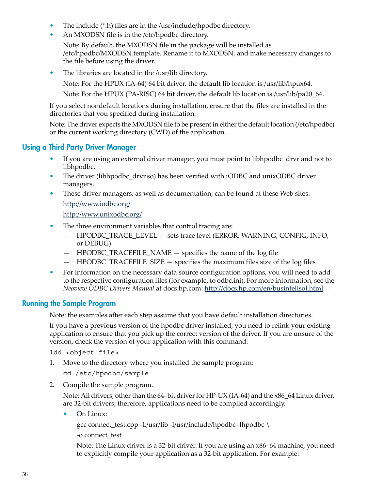- The include (\*.h) files are in the /usr/include/hpodbc directory.
- An MXODSN file is in the /etc/hpodbc directory.

Note: By default, the MXODSN file in the package will be installed as /etc/hpodbc/MXODSN.template. Rename it to MXODSN, and make necessary changes to the file before using the driver.

• The libraries are located in the /usr/lib directory.

Note: For the HPUX (IA-64) 64 bit driver, the default lib location is /usr/lib/hpux64.

Note: For the HPUX (PA-RISC) 64 bit driver, the default lib location is /usr/lib/pa20\_64.

If you select nondefault locations during installation, ensure that the files are installed in the directories that you specified during installation.

<span id="page-37-0"></span>Note: The driver expects the MXODSN file to be present in either the default location (/etc/hpodbc) or the current working directory (CWD) of the application.

### Using a Third Party Driver Manager

- If you are using an external driver manager, you must point to libhpodbc\_drvr and not to libhpodbc.
- The driver (libhpodbc\_drvr.so) has been verified with iODBC and unixODBC driver managers.
- These driver managers, as well as documentation, can be found at these Web sites: <http://www.iodbc.org/>

<http://www.unixodbc.org/>

- The three environment variables that control tracing are:
	- HPODBC\_TRACE\_LEVEL sets trace level (ERROR, WARNING, CONFIG, INFO, or DEBUG)
	- HPODBC\_TRACEFILE\_NAME specifies the name of the log file
	- HPODBC\_TRACEFILE\_SIZE specifies the maximum files size of the log files
- <span id="page-37-1"></span>• For information on the necessary data source configuration options, you will need to add to the respective configuration files (for example, to odbc.ini). For more information, see the *Neoview ODBC Drivers Manual* at docs.hp.com: [http://docs.hp.com/en/busintellsol.html.](http://docs.hp.com/en/busintellsol.html)

#### Running the Sample Program

Note: the examples after each step assume that you have default installation directories.

If you have a previous version of the hpodbc driver installed, you need to relink your existing application to ensure that you pick up the correct version of the driver. If you are unsure of the version, check the version of your application with this command:

ldd <object file>

1. Move to the directory where you installed the sample program:

cd /etc/hpodbc/sample

2. Compile the sample program.

Note: All drivers, other than the 64–bit driver for HP-UX (IA-64) and the  $x86-64$  Linux driver, are 32-bit drivers; therefore, applications need to be compiled accordingly.

• On Linux:

gcc connect\_test.cpp -L/usr/lib -I/usr/include/hpodbc -lhpodbc \

-o connect\_test

Note: The Linux driver is a 32-bit driver. If you are using an x86–64 machine, you need to explicitly compile your application as a 32-bit application. For example: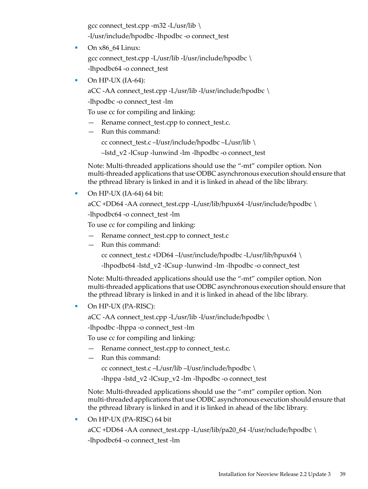gcc connect\_test.cpp -m32 -L/usr/lib  $\setminus$ -I/usr/include/hpodbc -lhpodbc -o connect\_test

- On x86\_64 Linux: gcc connect\_test.cpp -L/usr/lib -I/usr/include/hpodbc  $\setminus$ -lhpodbc64 -o connect\_test
- On HP-UX  $(IA-64)$ :

aCC -AA connect\_test.cpp -L/usr/lib -I/usr/include/hpodbc \

-lhpodbc -o connect\_test -lm

To use cc for compiling and linking:

- Rename connect test.cpp to connect test.c.
- Run this command:

cc connect\_test.c –I/usr/include/hpodbc –L/usr/lib \

–lstd\_v2 -lCsup -lunwind -lm -lhpodbc -o connect\_test

Note: Multi-threaded applications should use the "-mt" compiler option. Non multi-threaded applications that use ODBC asynchronous execution should ensure that the pthread library is linked in and it is linked in ahead of the libc library.

• On HP-UX (IA-64) 64 bit:

aCC +DD64 -AA connect\_test.cpp -L/usr/lib/hpux64 -I/usr/include/hpodbc  $\setminus$ 

-lhpodbc64 -o connect\_test -lm

To use cc for compiling and linking:

- Rename connect test.cpp to connect test.c
- Run this command:

cc connect\_test.c +DD64 –I/usr/include/hpodbc -L/usr/lib/hpux64 \

-lhpodbc64 -lstd\_v2 -lCsup -lunwind -lm -lhpodbc -o connect\_test

Note: Multi-threaded applications should use the "-mt" compiler option. Non multi-threaded applications that use ODBC asynchronous execution should ensure that the pthread library is linked in and it is linked in ahead of the libc library.

• On HP-UX (PA-RISC):

aCC -AA connect\_test.cpp -L/usr/lib -I/usr/include/hpodbc \

-lhpodbc -lhppa -o connect\_test -lm

To use cc for compiling and linking:

- Rename connect\_test.cpp to connect\_test.c.
- Run this command:

cc connect\_test.c –L/usr/lib –I/usr/include/hpodbc  $\setminus$ 

-lhppa -lstd\_v2 -lCsup\_v2 -lm -lhpodbc -o connect\_test

Note: Multi-threaded applications should use the "-mt" compiler option. Non multi-threaded applications that use ODBC asynchronous execution should ensure that the pthread library is linked in and it is linked in ahead of the libc library.

• On HP-UX (PA-RISC) 64 bit

aCC +DD64 -AA connect\_test.cpp -L/usr/lib/pa20\_64 -I/usr/nclude/hpodbc \

-lhpodbc64 -o connect\_test -lm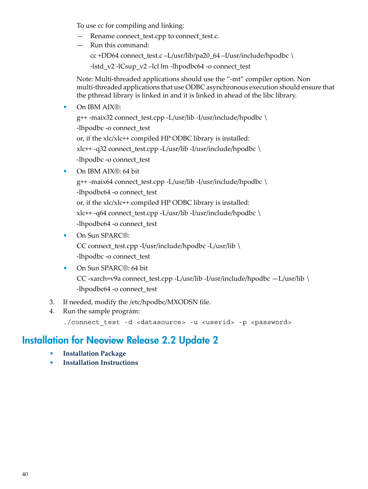To use cc for compiling and linking:

- Rename connect\_test.cpp to connect\_test.c.
- Run this command: cc +DD64 connect\_test.c –L/usr/lib/pa20\_64 –I/usr/include/hpodbc  $\setminus$ -lstd\_v2 -lCsup\_v2 –lcl lm -lhpodbc64 -o connect\_test

Note: Multi-threaded applications should use the "-mt" compiler option. Non multi-threaded applications that use ODBC asynchronous execution should ensure that the pthread library is linked in and it is linked in ahead of the libc library.

• On IBM AIX®:

```
g++ -maix32 connect_test.cpp -L/usr/lib -I/usr/include/hpodbc \
-lhpodbc -o connect_test
or, if the xlc/xlc++ compiled HP ODBC library is installed:
xlc++ -q32 connect_test.cpp -L/usr/lib -I/usr/include/hpodbc \
-lhpodbc -o connect_test
```
#### • On IBM AIX®: 64 bit

g++ -maix64 connect\_test.cpp -L/usr/lib -I/usr/include/hpodbc \ -lhpodbc64 -o connect\_test or, if the xlc/xlc++ compiled HP ODBC library is installed: xlc++ -q64 connect\_test.cpp -L/usr/lib -I/usr/include/hpodbc \ -lhpodbc64 -o connect\_test

• On Sun SPARC®:

CC connect\_test.cpp -I/usr/include/hpodbc -L/usr/lib \ -lhpodbc -o connect\_test

- On Sun SPARC®: 64 bit CC -xarch=v9a connect\_test.cpp -L/usr/lib -I/usr/include/hpodbc —L/usr/lib \ -lhpodbc64 -o connect\_test
- <span id="page-39-0"></span>3. If needed, modify the /etc/hpodbc/MXODSN file.
- 4. Run the sample program:

./connect\_test -d <datasource> -u <userid> -p <password>

# Installation for Neoview Release 2.2 Update 2

- **[Installation](#page-40-0) Package**
- **Installation [Instructions](#page-42-0)**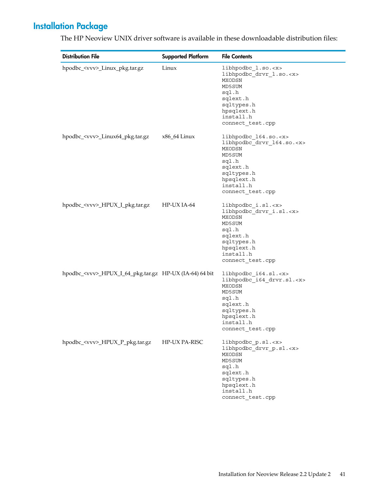# Installation Package

| <b>Distribution File</b>                                      | <b>Supported Platform</b> | <b>File Contents</b>                                                                                                                                                      |
|---------------------------------------------------------------|---------------------------|---------------------------------------------------------------------------------------------------------------------------------------------------------------------------|
| hpodbc_ <vvv>_Linux_pkg.tar.gz</vvv>                          | Linux                     | libhpodbc_1.so. <x><br/>libhpodbc drvr 1.so.<x><br/>MXODSN<br/>MD5SUM<br/>sql.h<br/>sqlext.h<br/>sqltypes.h<br/>hpsqlext.h<br/>install.h<br/>connect_test.cpp</x></x>     |
| hpodbc_ <vvv>_Linux64_pkg.tar.gz</vvv>                        | x86_64 Linux              | libhpodbc_164.so. <x><br/>libhpodbc_drvr_164.so.<x><br/>MXODSN<br/>MD5SUM<br/>sql.h<br/>sqlext.h<br/>sqltypes.h<br/>hpsqlext.h<br/>install.h<br/>connect test.cpp</x></x> |
| hpodbc_ <vvv>_HPUX_I_pkg.tar.gz</vvv>                         | HP-UX IA-64               | libhpodbc_i.sl. <x><br/>libhpodbc_drvr_i.sl.<x><br/>MXODSN<br/>MD5SUM<br/>sql.h<br/>sqlext.h<br/>sqltypes.h<br/>hpsqlext.h<br/>install.h<br/>connect test.cpp</x></x>     |
| hpodbc_ <vvv>_HPUX_I_64_pkg.tar.gz HP-UX (IA-64) 64 bit</vvv> |                           | libhpodbc_i64.sl. <x><br/>libhpodbc_i64_drvr.sl.<x><br/>MXODSN<br/>MD5SUM<br/>sql.h<br/>sqlext.h<br/>sqltypes.h<br/>hpsqlext.h<br/>install.h<br/>connect_test.cpp</x></x> |
| hpodbc_ <vvv>_HPUX_P_pkg.tar.gz</vvv>                         | HP-UX PA-RISC             | libhpodbc_p.sl. <x><br/>libhpodbc drvr p.sl.<x><br/>MXODSN<br/>MD5SUM<br/>sql.h<br/>sqlext.h<br/>sqltypes.h<br/>hpsqlext.h<br/>install.h<br/>connect_test.cpp</x></x>     |

<span id="page-40-0"></span>The HP Neoview UNIX driver software is available in these downloadable distribution files:

L,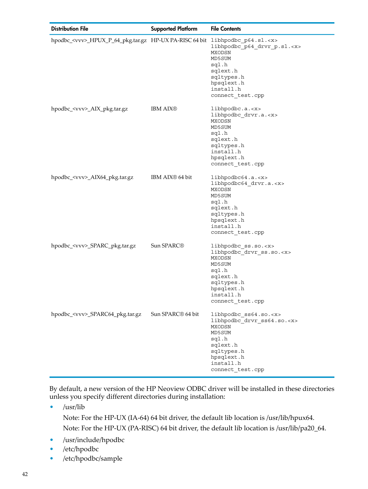| <b>Distribution File</b>                                                               | <b>Supported Platform</b>     | <b>File Contents</b>                                                                                                                                                        |
|----------------------------------------------------------------------------------------|-------------------------------|-----------------------------------------------------------------------------------------------------------------------------------------------------------------------------|
| hpodbc_ <vvv>_HPUX_P_64_pkg.tar.gz HP-UX PA-RISC 64 bit libhpodbc_p64.sl.<x></x></vvv> |                               | libhpodbc_p64_drvr_p.sl. <x><br/>MXODSN<br/>MD5SUM<br/>sql.h<br/>sqlext.h<br/>sqltypes.h<br/>hpsqlext.h<br/>install.h<br/>connect_test.cpp</x>                              |
| hpodbc_ <vvv>_AIX_pkg.tar.gz</vvv>                                                     | <b>IBM AIX®</b>               | libhpodbc.a. < x><br>libhpodbc_drvr.a. <x><br/>MXODSN<br/>MD5SUM<br/>sql.h<br/>sqlext.h<br/>sqltypes.h<br/>install.h<br/>hpsqlext.h<br/>connect_test.cpp</x>                |
| hpodbc_ <vvv>_AIX64_pkg.tar.gz</vvv>                                                   | IBM AIX <sup>®</sup> 64 bit   | libhpodbc64.a. <x><br/>libhpodbc64 drvr.a.<x><br/>MXODSN<br/>MD5SUM<br/>sql.h<br/>sqlext.h<br/>sqltypes.h<br/>hpsqlext.h<br/>install.h<br/>connect_test.cpp</x></x>         |
| hpodbc_ <vvv>_SPARC_pkg.tar.gz</vvv>                                                   | Sun SPARC <sup>®</sup>        | libhpodbc ss.so. <x><br/>libhpodbc_drvr_ss.so.<x><br/>MXODSN<br/>MD5SUM<br/>sql.h<br/>sqlext.h<br/>sqltypes.h<br/>hpsqlext.h<br/>install.h<br/>connect test.cpp</x></x>     |
| hpodbc_ <vvv>_SPARC64_pkg.tar.gz</vvv>                                                 | Sun SPARC <sup>®</sup> 64 bit | libhpodbc_ss64.so. <x><br/>libhpodbc drvr ss64.so.<x><br/>MXODSN<br/>MD5SUM<br/>sql.h<br/>sqlext.h<br/>sqltypes.h<br/>hpsqlext.h<br/>install.h<br/>connect_test.cpp</x></x> |

By default, a new version of the HP Neoview ODBC driver will be installed in these directories unless you specify different directories during installation:

• /usr/lib

Note: For the HP-UX (IA-64) 64 bit driver, the default lib location is /usr/lib/hpux64. Note: For the HP-UX (PA-RISC) 64 bit driver, the default lib location is /usr/lib/pa20\_64.

- /usr/include/hpodbc
- /etc/hpodbc
- /etc/hpodbc/sample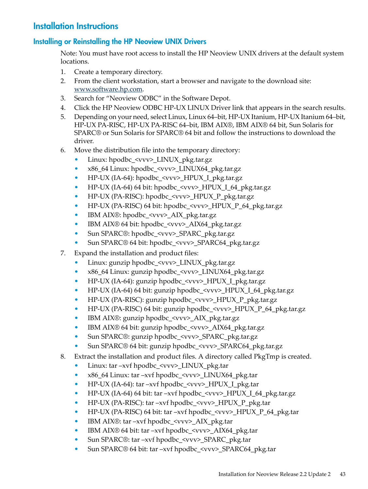# <span id="page-42-0"></span>Installation Instructions

#### Installing or Reinstalling the HP Neoview UNIX Drivers

<span id="page-42-1"></span>Note: You must have root access to install the HP Neoview UNIX drivers at the default system locations.

- 1. Create a temporary directory.
- 2. From the client workstation, start a browser and navigate to the download site: [www.software.hp.com](http://www.software.hp.com).
- 3. Search for "Neoview ODBC" in the Software Depot.
- 4. Click the HP Neoview ODBC HP-UX LINUX Driver link that appears in the search results.
- 5. Depending on your need, select Linux, Linux 64–bit, HP-UX Itanium, HP-UX Itanium 64–bit, HP-UX PA-RISC, HP-UX PA-RISC 64–bit, IBM AIX®, IBM AIX® 64 bit, Sun Solaris for SPARC® or Sun Solaris for SPARC® 64 bit and follow the instructions to download the driver.
- 6. Move the distribution file into the temporary directory:
	- Linux: hpodbc <vvv> LINUX pkg.tar.gz
	- x86\_64 Linux: hpodbc <vvv> LINUX64\_pkg.tar.gz
	- HP-UX (IA-64): hpodbc <vvv> HPUX I pkg.tar.gz
	- HP-UX (IA-64) 64 bit: hpodbc  $\langle$ vvv $\rangle$  HPUX I 64 pkg.tar.gz
	- HP-UX (PA-RISC): hpodbc <vvv> HPUX\_P\_pkg.tar.gz
	- HP-UX (PA-RISC) 64 bit: hpodbc  $\langle v v v \rangle$  HPUX P 64 pkg.tar.gz
	- IBM AIX®: hpodbc <vvv> AIX pkg.tar.gz
	- IBM AIX® 64 bit: hpodbc <vvv> AIX64 pkg.tar.gz
	- Sun SPARC®: hpodbc <vvv> SPARC\_pkg.tar.gz
	- Sun SPARC® 64 bit: hpodbc <vvv> SPARC64 pkg.tar.gz
- 7. Expand the installation and product files:
	- Linux: gunzip hpodbc\_<vvv>\_LINUX\_pkg.tar.gz
	- x86\_64 Linux: gunzip hpodbc\_<vvv>\_LINUX64\_pkg.tar.gz
	- HP-UX (IA-64): gunzip hpodbc\_<vvv>\_HPUX\_I\_pkg.tar.gz
	- HP-UX (IA-64) 64 bit: gunzip hpodbc\_<vvv>\_HPUX\_I\_64\_pkg.tar.gz
	- HP-UX (PA-RISC): gunzip hpodbc\_<vvv>\_HPUX\_P\_pkg.tar.gz
	- HP-UX (PA-RISC) 64 bit: gunzip hpodbc\_<vvv>\_HPUX\_P\_64\_pkg.tar.gz
	- IBM AIX®: gunzip hpodbc\_<vvv>\_AIX\_pkg.tar.gz
	- IBM AIX® 64 bit: gunzip hpodbc\_<vvv>\_AIX64\_pkg.tar.gz
	- Sun SPARC®: gunzip hpodbc <vvv> SPARC pkg.tar.gz
	- Sun SPARC® 64 bit: gunzip hpodbc\_<vvv>\_SPARC64\_pkg.tar.gz
- 8. Extract the installation and product files. A directory called PkgTmp is created.
	- Linux: tar –xvf hpodbc\_<vvv>\_LINUX\_pkg.tar
	- x86\_64 Linux: tar –xvf hpodbc\_<vvv>\_LINUX64\_pkg.tar
	- HP-UX (IA-64): tar –xvf hpodbc\_<vvv>\_HPUX\_I\_pkg.tar
	- HP-UX (IA-64) 64 bit: tar –xvf hpodbc\_<vvv>\_HPUX\_I\_64\_pkg.tar.gz
	- HP-UX (PA-RISC): tar –xvf hpodbc\_<vvv>\_HPUX\_P\_pkg.tar
	- HP-UX (PA-RISC) 64 bit: tar –xvf hpodbc\_<vvv>\_HPUX\_P\_64\_pkg.tar
	- IBM AIX®: tar –xvf hpodbc  $\langle v v v \rangle$  AIX pkg.tar
	- IBM AIX® 64 bit: tar –xvf hpodbc\_<vvv>\_AIX64\_pkg.tar
	- Sun SPARC®: tar –xvf hpodbc\_<vvv>\_SPARC\_pkg.tar
	- Sun SPARC® 64 bit: tar –xvf hpodbc\_<vvv>\_SPARC64\_pkg.tar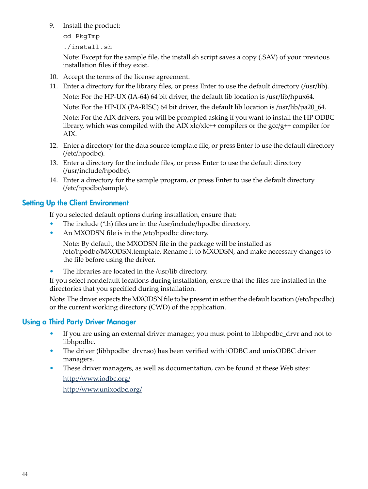9. Install the product:

cd PkgTmp

./install.sh

Note: Except for the sample file, the install.sh script saves a copy (.SAV) of your previous installation files if they exist.

- 10. Accept the terms of the license agreement.
- 11. Enter a directory for the library files, or press Enter to use the default directory (/usr/lib). Note: For the HP-UX (IA-64) 64 bit driver, the default lib location is /usr/lib/hpux64. Note: For the HP-UX (PA-RISC) 64 bit driver, the default lib location is /usr/lib/pa20\_64. Note: For the AIX drivers, you will be prompted asking if you want to install the HP ODBC library, which was compiled with the AIX  $xlc/xlc++$  compilers or the  $\text{gcc}/\text{g++}$  compiler for AIX.
- 12. Enter a directory for the data source template file, or press Enter to use the default directory (/etc/hpodbc).
- 13. Enter a directory for the include files, or press Enter to use the default directory (/usr/include/hpodbc).
- <span id="page-43-0"></span>14. Enter a directory for the sample program, or press Enter to use the default directory (/etc/hpodbc/sample).

# Setting Up the Client Environment

If you selected default options during installation, ensure that:

- The include (\*.h) files are in the /usr/include/hpodbc directory.
- An MXODSN file is in the /etc/hpodbc directory.

Note: By default, the MXODSN file in the package will be installed as /etc/hpodbc/MXODSN.template. Rename it to MXODSN, and make necessary changes to the file before using the driver.

• The libraries are located in the /usr/lib directory.

<span id="page-43-1"></span>If you select nondefault locations during installation, ensure that the files are installed in the directories that you specified during installation.

Note: The driver expects the MXODSN file to be present in either the default location (/etc/hpodbc) or the current working directory (CWD) of the application.

# Using a Third Party Driver Manager

- If you are using an external driver manager, you must point to libhpodbc\_drvr and not to libhpodbc.
- The driver (libhpodbc\_drvr.so) has been verified with iODBC and unixODBC driver managers.
- These driver managers, as well as documentation, can be found at these Web sites: <http://www.iodbc.org/>

<http://www.unixodbc.org/>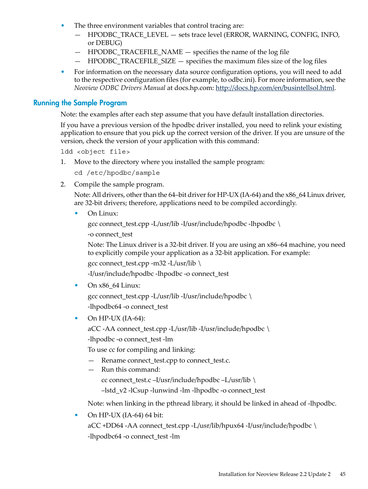- The three environment variables that control tracing are:
	- HPODBC\_TRACE\_LEVEL sets trace level (ERROR, WARNING, CONFIG, INFO, or DEBUG)
	- HPODBC\_TRACEFILE\_NAME specifies the name of the log file
	- $-$  HPODBC TRACEFILE SIZE  $-$  specifies the maximum files size of the log files
- <span id="page-44-0"></span>• For information on the necessary data source configuration options, you will need to add to the respective configuration files (for example, to odbc.ini). For more information, see the *Neoview ODBC Drivers Manual* at docs.hp.com: [http://docs.hp.com/en/busintellsol.html.](http://docs.hp.com/en/busintellsol.html)

#### Running the Sample Program

Note: the examples after each step assume that you have default installation directories.

If you have a previous version of the hpodbc driver installed, you need to relink your existing application to ensure that you pick up the correct version of the driver. If you are unsure of the version, check the version of your application with this command:

ldd <object file>

1. Move to the directory where you installed the sample program:

cd /etc/hpodbc/sample

2. Compile the sample program.

Note: All drivers, other than the 64–bit driver for HP-UX (IA-64) and the  $x86\_64$  Linux driver, are 32-bit drivers; therefore, applications need to be compiled accordingly.

• On Linux:

```
gcc connect_test.cpp -L/usr/lib -I/usr/include/hpodbc -lhpodbc \
```
-o connect\_test

Note: The Linux driver is a 32-bit driver. If you are using an x86–64 machine, you need to explicitly compile your application as a 32-bit application. For example:

gcc connect\_test.cpp -m32 -L/usr/lib \

-I/usr/include/hpodbc -lhpodbc -o connect\_test

• On  $x86$  64 Linux:

gcc connect test.cpp -L/usr/lib -I/usr/include/hpodbc  $\setminus$ -lhpodbc64 -o connect\_test

• On HP-UX  $(IA-64)$ :

aCC -AA connect\_test.cpp -L/usr/lib -I/usr/include/hpodbc \

-lhpodbc -o connect\_test -lm

To use cc for compiling and linking:

- Rename connect\_test.cpp to connect\_test.c.
- Run this command:

cc connect\_test.c –I/usr/include/hpodbc –L/usr/lib \

–lstd\_v2 -lCsup -lunwind -lm -lhpodbc -o connect\_test

Note: when linking in the pthread library, it should be linked in ahead of -lhpodbc.

• On HP-UX (IA-64) 64 bit:

aCC +DD64 -AA connect\_test.cpp -L/usr/lib/hpux64 -I/usr/include/hpodbc \ -lhpodbc64 -o connect\_test -lm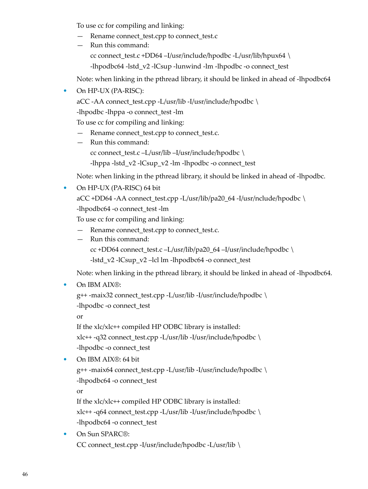To use cc for compiling and linking:

- Rename connect\_test.cpp to connect\_test.c
- Run this command: cc connect test.c +DD64 –I/usr/include/hpodbc -L/usr/lib/hpux64 \ -lhpodbc64 -lstd\_v2 -lCsup -lunwind -lm -lhpodbc -o connect\_test

Note: when linking in the pthread library, it should be linked in ahead of -lhpodbc64

• On HP-UX (PA-RISC):

aCC -AA connect\_test.cpp -L/usr/lib -I/usr/include/hpodbc \

-lhpodbc -lhppa -o connect\_test -lm

To use cc for compiling and linking:

- Rename connect\_test.cpp to connect\_test.c.
- Run this command: cc connect\_test.c –L/usr/lib –I/usr/include/hpodbc \ -lhppa -lstd\_v2 -lCsup\_v2 -lm -lhpodbc -o connect\_test

Note: when linking in the pthread library, it should be linked in ahead of -lhpodbc.

• On HP-UX (PA-RISC) 64 bit

aCC +DD64 -AA connect\_test.cpp -L/usr/lib/pa20\_64 -I/usr/nclude/hpodbc  $\setminus$ -lhpodbc64 -o connect\_test -lm

To use cc for compiling and linking:

- Rename connect\_test.cpp to connect\_test.c.
- Run this command:
	- cc +DD64 connect\_test.c –L/usr/lib/pa20\_64 –I/usr/include/hpodbc \

-lstd\_v2 -lCsup\_v2 –lcl lm -lhpodbc64 -o connect\_test

Note: when linking in the pthread library, it should be linked in ahead of -lhpodbc64.

• On IBM AIX®:

```
g++ -maix32 connect_test.cpp -L/usr/lib -I/usr/include/hpodbc \
-lhpodbc -o connect_test
```
or

If the xlc/xlc++ compiled HP ODBC library is installed: xlc++ -q32 connect\_test.cpp -L/usr/lib -I/usr/include/hpodbc \ -lhpodbc -o connect\_test

• On IBM AIX®: 64 bit

g++ -maix64 connect\_test.cpp -L/usr/lib -I/usr/include/hpodbc \ -lhpodbc64 -o connect\_test

or

If the xlc/xlc++ compiled HP ODBC library is installed:

xlc++ -q64 connect\_test.cpp -L/usr/lib -I/usr/include/hpodbc \ -lhpodbc64 -o connect\_test

• On Sun SPARC®: CC connect\_test.cpp -I/usr/include/hpodbc -L/usr/lib \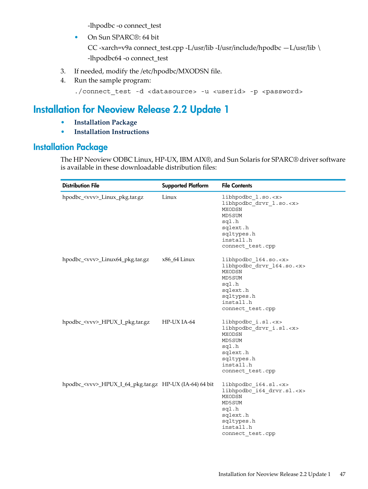-lhpodbc -o connect\_test

• On Sun SPARC®: 64 bit

CC -xarch=v9a connect\_test.cpp -L/usr/lib -I/usr/include/hpodbc —L/usr/lib \ -lhpodbc64 -o connect\_test

- 3. If needed, modify the /etc/hpodbc/MXODSN file.
- <span id="page-46-0"></span>4. Run the sample program:

```
./connect_test -d <datasource> -u <userid> -p <password>
```
# Installation for Neoview Release 2.2 Update 1

- **[Installation](#page-46-1) Package**
- <span id="page-46-1"></span>• **Installation [Instructions](#page-47-0)**

# Installation Package

The HP Neoview ODBC Linux, HP-UX, IBM AIX®, and Sun Solaris for SPARC® driver software is available in these downloadable distribution files:

| <b>Distribution File</b>                                      | <b>Supported Platform</b> | <b>File Contents</b>                                                                                                                                          |
|---------------------------------------------------------------|---------------------------|---------------------------------------------------------------------------------------------------------------------------------------------------------------|
| hpodbc_ <vvv>_Linux_pkg.tar.gz</vvv>                          | Linux                     | libhpodbc l.so. <x><br/>libhpodbc drvr 1.so.<x><br/>MXODSN<br/>MD5SUM<br/>sql.h<br/>sqlext.h<br/>sqltypes.h<br/>install.h<br/>connect test.cpp</x></x>        |
| hpodbc_ <vvv>_Linux64_pkg.tar.gz</vvv>                        | x86_64 Linux              | libhpodbc 164.so. <x><br/>libhpodbc drvr 164.so.<x><br/>MXODSN<br/>MD5SUM<br/>sql.h<br/>sqlext.h<br/>sqltypes.h<br/>install.h<br/>connect test.cpp</x></x>    |
| hpodbc_ <vvv>_HPUX_I_pkg.tar.gz</vvv>                         | HP-UX IA-64               | libhpodbc i.sl. <x><br/>libhpodbc drvr i.sl.<x><br/><b>MXODSN</b><br/>MD5SUM<br/>sql.h<br/>sqlext.h<br/>sqltypes.h<br/>install.h<br/>connect test.cpp</x></x> |
| hpodbc_ <vvv>_HPUX_I_64_pkg.tar.gz HP-UX (IA-64) 64 bit</vvv> |                           | libhpodbc i64.sl. <x><br/>libhpodbc i64 drvr.sl.<x><br/>MXODSN<br/>MD5SUM<br/>sql.h<br/>sqlext.h<br/>sqltypes.h<br/>install.h<br/>connect_test.cpp</x></x>    |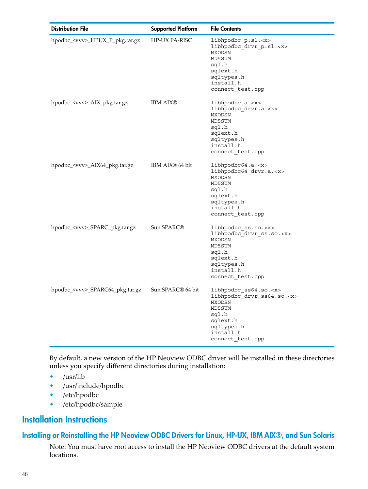| <b>Distribution File</b>               | <b>Supported Platform</b>     | <b>File Contents</b>                                                                                                                                         |
|----------------------------------------|-------------------------------|--------------------------------------------------------------------------------------------------------------------------------------------------------------|
| hpodbc_ <vvv>_HPUX_P_pkg.tar.gz</vvv>  | HP-UX PA-RISC                 | libhpodbc p.sl. <x><br/>libhpodbc drvr p.sl.<x><br/>MXODSN<br/>MD5SUM<br/>sql.h<br/>sqlext.h<br/>sqltypes.h<br/>install.h<br/>connect_test.cpp</x></x>       |
| hpodbc_ <vvv>_AIX_pkg.tar.gz</vvv>     | <b>IBM AIX®</b>               | libhpodbc.a. <x><br/>libhpodbc drvr.a.<x><br/>MXODSN<br/>MD5SUM<br/>sql.h<br/>sqlext.h<br/>sqltypes.h<br/>install.h<br/>connect_test.cpp</x></x>             |
| hpodbc_ <vvv>_AIX64_pkg.tar.gz</vvv>   | IBM AIX <sup>®</sup> 64 bit   | libhpodbc64.a. <x><br/>libhpodbc64 drvr.a.<x><br/>MXODSN<br/>MD5SUM<br/>sql.h<br/>sqlext.h<br/>sqltypes.h<br/>install.h<br/>connect_test.cpp</x></x>         |
| hpodbc_ <vvv>_SPARC_pkg.tar.gz</vvv>   | Sun SPARC <sup>®</sup>        | libhpodbc ss.so. <x><br/>libhpodbc drvr ss.so.<x><br/>MXODSN<br/>MD5SUM<br/>sql.h<br/>sqlext.h<br/>sqltypes.h<br/>install.h<br/>connect_test.cpp</x></x>     |
| hpodbc_ <vvv>_SPARC64_pkg.tar.gz</vvv> | Sun SPARC <sup>®</sup> 64 bit | libhpodbc ss64.so. <x><br/>libhpodbc drvr ss64.so.<x><br/>MXODSN<br/>MD5SUM<br/>sql.h<br/>sqlext.h<br/>sqltypes.h<br/>install.h<br/>connect_test.cpp</x></x> |

By default, a new version of the HP Neoview ODBC driver will be installed in these directories unless you specify different directories during installation:

- <span id="page-47-0"></span>• /usr/lib
- <span id="page-47-1"></span>• /usr/include/hpodbc
- /etc/hpodbc
- /etc/hpodbc/sample

# Installation Instructions

### Installing or Reinstalling the HP Neoview ODBC Drivers for Linux, HP-UX, IBM AIX®, and Sun Solaris

Note: You must have root access to install the HP Neoview ODBC drivers at the default system locations.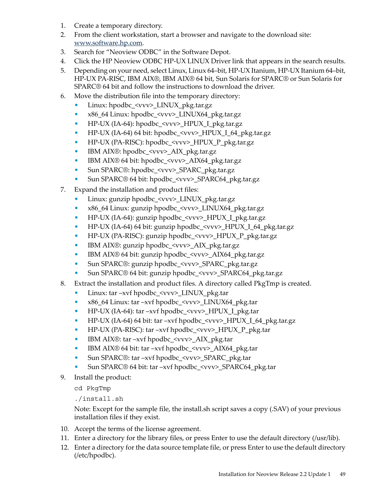- 1. Create a temporary directory.
- 2. From the client workstation, start a browser and navigate to the download site: [www.software.hp.com](http://www.software.hp.com).
- 3. Search for "Neoview ODBC" in the Software Depot.
- 4. Click the HP Neoview ODBC HP-UX LINUX Driver link that appears in the search results.
- 5. Depending on your need, select Linux, Linux 64–bit, HP-UX Itanium, HP-UX Itanium 64–bit, HP-UX PA-RISC, IBM AIX®, IBM AIX® 64 bit, Sun Solaris for SPARC® or Sun Solaris for SPARC® 64 bit and follow the instructions to download the driver.
- 6. Move the distribution file into the temporary directory:
	- Linux: hpodbc\_<vvv>\_LINUX\_pkg.tar.gz
	- x86\_64 Linux: hpodbc\_<vvv>\_LINUX64\_pkg.tar.gz
	- HP-UX (IA-64): hpodbc\_<vvv>\_HPUX\_I\_pkg.tar.gz
	- HP-UX (IA-64) 64 bit: hpodbc\_<vvv>\_HPUX\_I\_64\_pkg.tar.gz
	- HP-UX (PA-RISC): hpodbc\_<vvv>\_HPUX\_P\_pkg.tar.gz
	- IBM AIX®: hpodbc\_<vvv>\_AIX\_pkg.tar.gz
	- IBM AIX® 64 bit: hpodbc\_<vvv>\_AIX64\_pkg.tar.gz
	- Sun SPARC®: hpodbc\_<vvv>\_SPARC\_pkg.tar.gz
	- Sun SPARC® 64 bit: hpodbc\_<vvv>\_SPARC64\_pkg.tar.gz
- 7. Expand the installation and product files:
	- Linux: gunzip hpodbc\_<vvv>\_LINUX\_pkg.tar.gz
	- x86\_64 Linux: gunzip hpodbc\_<vvv>\_LINUX64\_pkg.tar.gz
	- HP-UX (IA-64): gunzip hpodbc\_<vvv>\_HPUX\_I\_pkg.tar.gz
	- HP-UX (IA-64) 64 bit: gunzip hpodbc\_<vvv>\_HPUX\_I\_64\_pkg.tar.gz
	- HP-UX (PA-RISC): gunzip hpodbc\_<vvv>\_HPUX\_P\_pkg.tar.gz
	- IBM AIX®: gunzip hpodbc\_<vvv>\_AIX\_pkg.tar.gz
	- IBM AIX® 64 bit: gunzip hpodbc\_<vvv>\_AIX64\_pkg.tar.gz
	- Sun SPARC®: gunzip hpodbc\_<vvv>\_SPARC\_pkg.tar.gz
	- Sun SPARC® 64 bit: gunzip hpodbc\_<vvv>\_SPARC64\_pkg.tar.gz
- 8. Extract the installation and product files. A directory called PkgTmp is created.
	- Linux: tar –xvf hpodbc\_<vvv>\_LINUX\_pkg.tar
	- x86\_64 Linux: tar –xvf hpodbc\_<vvv>\_LINUX64\_pkg.tar
	- HP-UX (IA-64): tar –xvf hpodbc\_<vvv>\_HPUX\_I\_pkg.tar
	- HP-UX (IA-64) 64 bit: tar –xvf hpodbc\_<vvv>\_HPUX\_I\_64\_pkg.tar.gz
	- HP-UX (PA-RISC): tar –xvf hpodbc\_<vvv>\_HPUX\_P\_pkg.tar
	- IBM AIX®: tar –xvf hpodbc\_<vvv>\_AIX\_pkg.tar
	- IBM AIX® 64 bit: tar –xvf hpodbc\_<vvv>\_AIX64\_pkg.tar
	- Sun SPARC®: tar –xvf hpodbc\_<vvv>\_SPARC\_pkg.tar
	- Sun SPARC® 64 bit: tar –xvf hpodbc\_<vvv>\_SPARC64\_pkg.tar
- 9. Install the product:
	- cd PkgTmp

./install.sh

Note: Except for the sample file, the install.sh script saves a copy (.SAV) of your previous installation files if they exist.

- 10. Accept the terms of the license agreement.
- 11. Enter a directory for the library files, or press Enter to use the default directory (/usr/lib).
- 12. Enter a directory for the data source template file, or press Enter to use the default directory (/etc/hpodbc).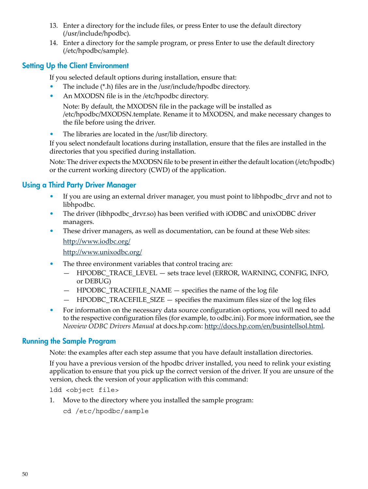- 13. Enter a directory for the include files, or press Enter to use the default directory (/usr/include/hpodbc).
- <span id="page-49-0"></span>14. Enter a directory for the sample program, or press Enter to use the default directory (/etc/hpodbc/sample).

#### Setting Up the Client Environment

If you selected default options during installation, ensure that:

- The include (\*.h) files are in the /usr/include/hpodbc directory.
- An MXODSN file is in the /etc/hpodbc directory.

Note: By default, the MXODSN file in the package will be installed as /etc/hpodbc/MXODSN.template. Rename it to MXODSN, and make necessary changes to the file before using the driver.

• The libraries are located in the /usr/lib directory.

If you select nondefault locations during installation, ensure that the files are installed in the directories that you specified during installation.

<span id="page-49-1"></span>Note: The driver expects the MXODSN file to be present in either the default location (/etc/hpodbc) or the current working directory (CWD) of the application.

#### Using a Third Party Driver Manager

- If you are using an external driver manager, you must point to libhpodbe drvr and not to libhpodbc.
- The driver (libhpodbc\_drvr.so) has been verified with iODBC and unixODBC driver managers.
- These driver managers, as well as documentation, can be found at these Web sites:

<http://www.iodbc.org/>

<http://www.unixodbc.org/>

- The three environment variables that control tracing are:
	- HPODBC\_TRACE\_LEVEL sets trace level (ERROR, WARNING, CONFIG, INFO, or DEBUG)
	- HPODBC\_TRACEFILE\_NAME specifies the name of the log file
	- HPODBC\_TRACEFILE\_SIZE specifies the maximum files size of the log files
- <span id="page-49-2"></span>• For information on the necessary data source configuration options, you will need to add to the respective configuration files (for example, to odbc.ini). For more information, see the *Neoview ODBC Drivers Manual* at docs.hp.com: [http://docs.hp.com/en/busintellsol.html.](http://docs.hp.com/en/busintellsol.html)

#### Running the Sample Program

Note: the examples after each step assume that you have default installation directories.

If you have a previous version of the hpodbc driver installed, you need to relink your existing application to ensure that you pick up the correct version of the driver. If you are unsure of the version, check the version of your application with this command:

ldd <object file>

- 1. Move to the directory where you installed the sample program:
	- cd /etc/hpodbc/sample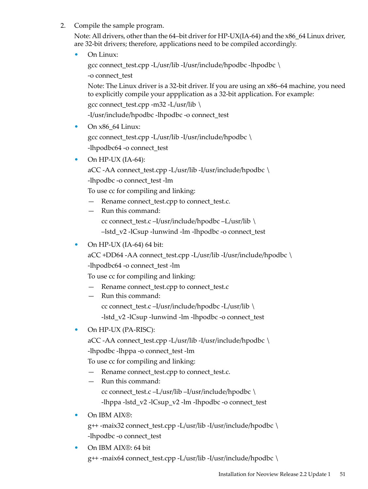2. Compile the sample program.

Note: All drivers, other than the 64–bit driver for HP-UX(IA-64) and the  $x86\_64$  Linux driver, are 32-bit drivers; therefore, applications need to be compiled accordingly.

• On Linux:

gcc connect test.cpp -L/usr/lib -I/usr/include/hpodbc -lhpodbc \

-o connect\_test

Note: The Linux driver is a 32-bit driver. If you are using an x86–64 machine, you need to explicitly compile your appplication as a 32-bit application. For example:

gcc connect\_test.cpp -m32 -L/usr/lib \

-I/usr/include/hpodbc -lhpodbc -o connect\_test

- On  $x86\_64$  Linux: gcc connect\_test.cpp -L/usr/lib -I/usr/include/hpodbc \ -lhpodbc64 -o connect\_test
- On HP-UX  $(IA-64)$ :

aCC -AA connect\_test.cpp -L/usr/lib -I/usr/include/hpodbc \

-lhpodbc -o connect\_test -lm

To use cc for compiling and linking:

- Rename connect\_test.cpp to connect\_test.c.
- Run this command: cc connect\_test.c –I/usr/include/hpodbc –L/usr/lib \ –lstd\_v2 -lCsup -lunwind -lm -lhpodbc -o connect\_test
- On HP-UX (IA-64) 64 bit:

aCC +DD64 -AA connect\_test.cpp -L/usr/lib -I/usr/include/hpodbc \

-lhpodbc64 -o connect\_test -lm

To use cc for compiling and linking:

- Rename connect\_test.cpp to connect\_test.c
- Run this command:

cc connect\_test.c –I/usr/include/hpodbc -L/usr/lib \ -lstd\_v2 -lCsup -lunwind -lm -lhpodbc -o connect\_test

• On HP-UX (PA-RISC):

aCC -AA connect\_test.cpp -L/usr/lib -I/usr/include/hpodbc \ -lhpodbc -lhppa -o connect\_test -lm

To use cc for compiling and linking:

- Rename connect\_test.cpp to connect\_test.c.
- Run this command: cc connect\_test.c –L/usr/lib –I/usr/include/hpodbc \ -lhppa -lstd\_v2 -lCsup\_v2 -lm -lhpodbc -o connect\_test
- On IBM AIX®:

g++ -maix32 connect\_test.cpp -L/usr/lib -I/usr/include/hpodbc \ -lhpodbc -o connect\_test

• On IBM AIX®: 64 bit g++ -maix64 connect\_test.cpp -L/usr/lib -I/usr/include/hpodbc \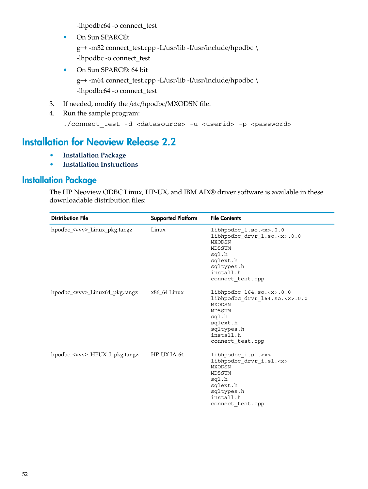-lhpodbc64 -o connect\_test

- On Sun SPARC®: g++ -m32 connect\_test.cpp -L/usr/lib -I/usr/include/hpodbc \ -lhpodbc -o connect\_test
- On Sun SPARC®: 64 bit g++ -m64 connect\_test.cpp -L/usr/lib -I/usr/include/hpodbc \ -lhpodbc64 -o connect\_test
- 3. If needed, modify the /etc/hpodbc/MXODSN file.
- <span id="page-51-0"></span>4. Run the sample program:

```
./connect_test -d <datasource> -u <userid> -p <password>
```
# Installation for Neoview Release 2.2

- <span id="page-51-1"></span>• **[Installation](#page-51-1) Package**
- **Installation [Instructions](#page-52-0)**

## Installation Package

The HP Neoview ODBC Linux, HP-UX, and IBM AIX® driver software is available in these downloadable distribution files:

| <b>Distribution File</b>               | <b>Supported Platform</b> | <b>File Contents</b>                                                                                                                                           |
|----------------------------------------|---------------------------|----------------------------------------------------------------------------------------------------------------------------------------------------------------|
| hpodbc_ <vvv>_Linux_pkg.tar.gz</vvv>   | Linux                     | libhpodbc 1.so. <x>.0.0<br/>libhpodbc drvr 1.so.<x>.0.0<br/>MXODSN<br/>MD5SUM<br/>sql.h<br/>sqlext.h<br/>sqltypes.h<br/>install.h<br/>connect test.cpp</x></x> |
| hpodbc_ <vvv>_Linux64_pkg.tar.gz</vvv> | $x86$ 64 Linux            | libhpodbc $164.so. 0.0$<br>libhpodbc_drvr_164.so. <x>.0.0<br/>MXODSN<br/>MD5SUM<br/>sql.h<br/>sqlext.h<br/>sqltypes.h<br/>install.h<br/>connect test.cpp</x>   |
| hpodbc_ <vvv>_HPUX_I_pkg.tar.gz</vvv>  | HP-UX IA-64               | libhpodbc i.sl. <x><br/>libhpodbc drvr i.sl.<x><br/>MXODSN<br/>MD5SUM<br/>sql.h<br/>sqlext.h<br/>sqltypes.h<br/>install.h<br/>connect test.cpp</x></x>         |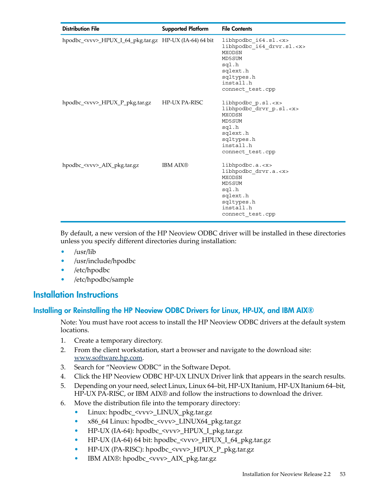| <b>Distribution File</b>                                      | <b>Supported Platform</b> | <b>File Contents</b>                                                                                                                                       |
|---------------------------------------------------------------|---------------------------|------------------------------------------------------------------------------------------------------------------------------------------------------------|
| hpodbc_ <vvv>_HPUX_I_64_pkg.tar.gz HP-UX (IA-64) 64 bit</vvv> |                           | libhpodbc i64.sl. <x><br/>libhpodbc_i64_drvr.sl.<x><br/>MXODSN<br/>MD5SUM<br/>sql.h<br/>sqlext.h<br/>sqltypes.h<br/>install.h<br/>connect test.cpp</x></x> |
| hpodbc_ <vvv>_HPUX_P_pkg.tar.gz</vvv>                         | <b>HP-UX PA-RISC</b>      | libhpodbc $p.sl.$<br>libhpodbc drvr p.sl. <x><br/>MXODSN<br/>MD5SUM<br/>sql.h<br/>sqlext.h<br/>sqltypes.h<br/>install.h<br/>connect test.cpp</x>           |
| hpodbc_ <vvv>_AIX_pkg.tar.gz</vvv>                            | <b>IBM AIX®</b>           | libhpodbc.a. <x><br/>libhpodbc drvr.a.<x><br/>MXODSN<br/>MD5SUM<br/>sql.h<br/>sqlext.h<br/>sqltypes.h<br/>install.h<br/>connect_test.cpp</x></x>           |

By default, a new version of the HP Neoview ODBC driver will be installed in these directories unless you specify different directories during installation:

- /usr/lib
- <span id="page-52-0"></span>• /usr/include/hpodbc
- /etc/hpodbc
- <span id="page-52-1"></span>• /etc/hpodbc/sample

#### Installation Instructions

#### Installing or Reinstalling the HP Neoview ODBC Drivers for Linux, HP-UX, and IBM AIX®

Note: You must have root access to install the HP Neoview ODBC drivers at the default system locations.

- 1. Create a temporary directory.
- 2. From the client workstation, start a browser and navigate to the download site: [www.software.hp.com](http://www.software.hp.com).
- 3. Search for "Neoview ODBC" in the Software Depot.
- 4. Click the HP Neoview ODBC HP-UX LINUX Driver link that appears in the search results.
- 5. Depending on your need, select Linux, Linux 64–bit, HP-UX Itanium, HP-UX Itanium 64–bit, HP-UX PA-RISC, or IBM AIX® and follow the instructions to download the driver.
- 6. Move the distribution file into the temporary directory:
	- Linux: hpodbc\_<vvv>\_LINUX\_pkg.tar.gz
	- x86\_64 Linux: hpodbc\_<vvv>\_LINUX64\_pkg.tar.gz
	- HP-UX (IA-64): hpodbc\_<vvv>\_HPUX\_I\_pkg.tar.gz
	- HP-UX (IA-64) 64 bit: hpodbc\_<vvv>\_HPUX\_I\_64\_pkg.tar.gz
	- HP-UX (PA-RISC): hpodbc\_<vvv>\_HPUX\_P\_pkg.tar.gz
	- IBM AIX®: hpodbc\_<vvv>\_AIX\_pkg.tar.gz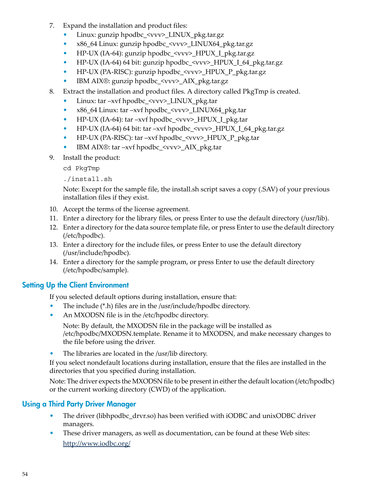- 7. Expand the installation and product files:
	- Linux: gunzip hpodbc <vvv> LINUX\_pkg.tar.gz
	- x86\_64 Linux: gunzip hpodbc\_<vvv>\_LINUX64\_pkg.tar.gz
	- HP-UX (IA-64): gunzip hpodbc\_<vvv>\_HPUX\_I\_pkg.tar.gz
	- HP-UX (IA-64) 64 bit: gunzip hpodbc\_<vvv>\_HPUX\_I\_64\_pkg.tar.gz
	- HP-UX (PA-RISC): gunzip hpodbc\_<vvv>\_HPUX\_P\_pkg.tar.gz
	- IBM AIX®: gunzip hpodbc\_<vvv>\_AIX\_pkg.tar.gz
- 8. Extract the installation and product files. A directory called PkgTmp is created.
	- Linux: tar –xvf hpodbc\_<vvv>\_LINUX\_pkg.tar
	- x86\_64 Linux: tar –xvf hpodbc\_<vvv>\_LINUX64\_pkg.tar
	- HP-UX (IA-64): tar –xvf hpodbc  $\langle v v v \rangle$  HPUX I pkg.tar
	- HP-UX (IA-64) 64 bit: tar –xvf hpodbc\_<vvv>\_HPUX\_I\_64\_pkg.tar.gz
	- HP-UX (PA-RISC): tar –xvf hpodbc\_<vvv>\_HPUX\_P\_pkg.tar
	- IBM AIX®: tar –xvf hpodbc\_<vvv>\_AIX\_pkg.tar
- 9. Install the product:

cd PkgTmp

./install.sh

Note: Except for the sample file, the install.sh script saves a copy (.SAV) of your previous installation files if they exist.

- 10. Accept the terms of the license agreement.
- 11. Enter a directory for the library files, or press Enter to use the default directory (/usr/lib).
- 12. Enter a directory for the data source template file, or press Enter to use the default directory (/etc/hpodbc).
- <span id="page-53-0"></span>13. Enter a directory for the include files, or press Enter to use the default directory (/usr/include/hpodbc).
- 14. Enter a directory for the sample program, or press Enter to use the default directory (/etc/hpodbc/sample).

### Setting Up the Client Environment

If you selected default options during installation, ensure that:

- The include (\*.h) files are in the /usr/include/hpodbc directory.
- An MXODSN file is in the /etc/hpodbc directory.

Note: By default, the MXODSN file in the package will be installed as /etc/hpodbc/MXODSN.template. Rename it to MXODSN, and make necessary changes to the file before using the driver.

• The libraries are located in the /usr/lib directory.

<span id="page-53-1"></span>If you select nondefault locations during installation, ensure that the files are installed in the directories that you specified during installation.

Note: The driver expects the MXODSN file to be present in either the default location (/etc/hpodbc) or the current working directory (CWD) of the application.

# Using a Third Party Driver Manager

- The driver (libhpodbc\_drvr.so) has been verified with iODBC and unixODBC driver managers.
- These driver managers, as well as documentation, can be found at these Web sites: <http://www.iodbc.org/>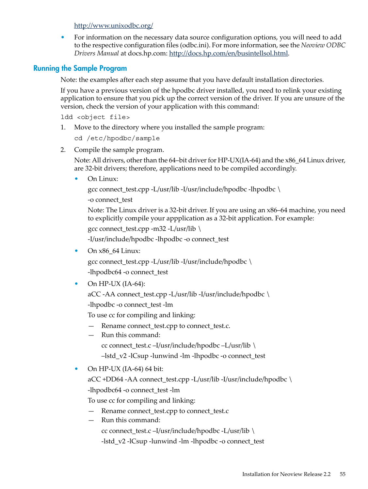<http://www.unixodbc.org/>

<span id="page-54-0"></span>• For information on the necessary data source configuration options, you will need to add to the respective configuration files (odbc.ini). For more information, see the *Neoview ODBC Drivers Manual* at docs.hp.com: [http://docs.hp.com/en/busintellsol.html.](http://docs.hp.com/en/busintellsol.html)

#### Running the Sample Program

Note: the examples after each step assume that you have default installation directories.

If you have a previous version of the hpodbc driver installed, you need to relink your existing application to ensure that you pick up the correct version of the driver. If you are unsure of the version, check the version of your application with this command:

ldd <object file>

1. Move to the directory where you installed the sample program:

cd /etc/hpodbc/sample

2. Compile the sample program.

Note: All drivers, other than the 64-bit driver for HP-UX(IA-64) and the x86\_64 Linux driver, are 32-bit drivers; therefore, applications need to be compiled accordingly.

• On Linux:

gcc connect\_test.cpp -L/usr/lib -I/usr/include/hpodbc -lhpodbc \

-o connect\_test

Note: The Linux driver is a 32-bit driver. If you are using an x86–64 machine, you need to explicitly compile your appplication as a 32-bit application. For example:

```
gcc connect_test.cpp -m32 -L/usr/lib \
```
-I/usr/include/hpodbc -lhpodbc -o connect\_test

• On x86\_64 Linux:

gcc connect\_test.cpp -L/usr/lib -I/usr/include/hpodbc \ -lhpodbc64 -o connect\_test

• On HP-UX  $(IA-64)$ :

aCC -AA connect\_test.cpp -L/usr/lib -I/usr/include/hpodbc \

-lhpodbc -o connect\_test -lm

To use cc for compiling and linking:

- Rename connect\_test.cpp to connect\_test.c.
- Run this command: cc connect\_test.c –I/usr/include/hpodbc –L/usr/lib \
	- –lstd\_v2 -lCsup -lunwind -lm -lhpodbc -o connect\_test

#### • On HP-UX (IA-64) 64 bit:

 $aCC + DD64 - AA$  connect\_test.cpp -L/usr/lib -I/usr/include/hpodbc \ -lhpodbc64 -o connect\_test -lm

To use cc for compiling and linking:

- Rename connect test.cpp to connect test.c
- Run this command:
	- cc connect\_test.c –I/usr/include/hpodbc -L/usr/lib \

-lstd\_v2 -lCsup -lunwind -lm -lhpodbc -o connect\_test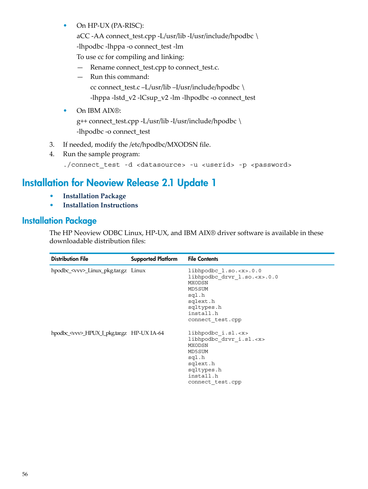• On HP-UX (PA-RISC):

aCC -AA connect\_test.cpp -L/usr/lib -I/usr/include/hpodbc \ -lhpodbc -lhppa -o connect test -lm

To use cc for compiling and linking:

- Rename connect\_test.cpp to connect\_test.c.
- Run this command:

```
cc connect_test.c –L/usr/lib –I/usr/include/hpodbc \
```
-lhppa -lstd\_v2 -lCsup\_v2 -lm -lhpodbc -o connect\_test

• On IBM AIX®:

g++ connect\_test.cpp -L/usr/lib -I/usr/include/hpodbc \ -lhpodbc -o connect test

- 3. If needed, modify the /etc/hpodbc/MXODSN file.
- <span id="page-55-0"></span>4. Run the sample program:

```
./connect_test -d <datasource> -u <userid> -p <password>
```
# Installation for Neoview Release 2.1 Update 1

- <span id="page-55-1"></span>• **[Installation](#page-55-1) Package**
- **Installation [Instructions](#page-56-0)**

# Installation Package

The HP Neoview ODBC Linux, HP-UX, and IBM AIX® driver software is available in these downloadable distribution files:

| <b>Distribution File</b>                          | <b>Supported Platform</b> | <b>File Contents</b>                                                                                                                                            |
|---------------------------------------------------|---------------------------|-----------------------------------------------------------------------------------------------------------------------------------------------------------------|
| hpodbc_ <vvv>_Linux_pkg.tar.gz    Linux</vvv>     |                           | libhpodbc $l.so..0.0$<br>libhpodbc drvr 1.so. <x>.0.0<br/><b>MXODSN</b><br/>MD5SUM<br/>sql.h<br/>sqlext.h<br/>sqltypes.h<br/>install.h<br/>connect test.cpp</x> |
| hpodbc_ <vvv>_HPUX_I_pkg.tar.gz HP-UX IA-64</vvv> |                           | libhpodbc i.sl. <x><br/>libhpodbc drvr i.sl.<x><br/>MXODSN<br/>MD5SUM<br/>sql.h<br/>sqlext.h<br/>sqltypes.h<br/>install.h<br/>connect test.cpp</x></x>          |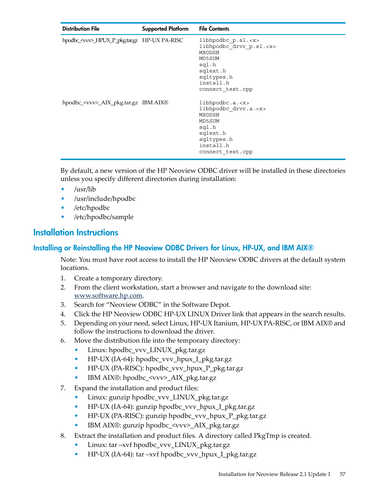| <b>Distribution File</b>                            | <b>Supported Platform</b> | <b>File Contents</b>                                                                                                                                 |
|-----------------------------------------------------|---------------------------|------------------------------------------------------------------------------------------------------------------------------------------------------|
| hpodbc_ <vvv>_HPUX_P_pkg.tar.gz HP-UX PA-RISC</vvv> |                           | libhpodbc $p.sl.$<br>libhpodbc drvr p.sl. <x><br/>MXODSN<br/>MD5SUM<br/>sql.h<br/>sqlext.h<br/>sqltypes.h<br/>install.h<br/>connect test.cpp</x>     |
| hpodbc_ <vvv>_AIX_pkg.tar.gz IBM AIX®</vvv>         |                           | libhpodbc.a. < x><br>libhpodbc drvr.a. <x><br/><b>MXODSN</b><br/>MD5SUM<br/>sql.h<br/>sqlext.h<br/>sqltypes.h<br/>install.h<br/>connect test.cpp</x> |

By default, a new version of the HP Neoview ODBC driver will be installed in these directories unless you specify different directories during installation:

- /usr/lib
- /usr/include/hpodbc
- <span id="page-56-0"></span>• /etc/hpodbc
- <span id="page-56-1"></span>• /etc/hpodbc/sample

### Installation Instructions

#### Installing or Reinstalling the HP Neoview ODBC Drivers for Linux, HP-UX, and IBM AIX®

Note: You must have root access to install the HP Neoview ODBC drivers at the default system locations.

- 1. Create a temporary directory.
- 2. From the client workstation, start a browser and navigate to the download site: [www.software.hp.com](http://www.software.hp.com).
- 3. Search for "Neoview ODBC" in the Software Depot.
- 4. Click the HP Neoview ODBC HP-UX LINUX Driver link that appears in the search results.
- 5. Depending on your need, select Linux, HP-UX Itanium, HP-UX PA-RISC, or IBM AIX® and follow the instructions to download the driver.
- 6. Move the distribution file into the temporary directory:
	- Linux: hpodbc\_vvv\_LINUX\_pkg.tar.gz
	- HP-UX (IA-64): hpodbc\_vvv\_hpux\_I\_pkg.tar.gz
	- HP-UX (PA-RISC): hpodbc\_vvv\_hpux\_P\_pkg.tar.gz
	- IBM AIX®: hpodbc\_<vvv>\_AIX\_pkg.tar.gz
- 7. Expand the installation and product files:
	- Linux: gunzip hpodbc\_vvv\_LINUX\_pkg.tar.gz
	- HP-UX (IA-64): gunzip hpodbc\_vvv\_hpux\_I\_pkg.tar.gz
	- HP-UX (PA-RISC): gunzip hpodbc\_vvv\_hpux\_P\_pkg.tar.gz
	- IBM AIX®: gunzip hpodbc\_<vvv>\_AIX\_pkg.tar.gz
- 8. Extract the installation and product files. A directory called PkgTmp is created.
	- Linux: tar –xvf hpodbc\_vvv\_LINUX\_pkg.tar.gz
	- HP-UX (IA-64): tar –xvf hpodbc\_vvv\_hpux\_I\_pkg.tar.gz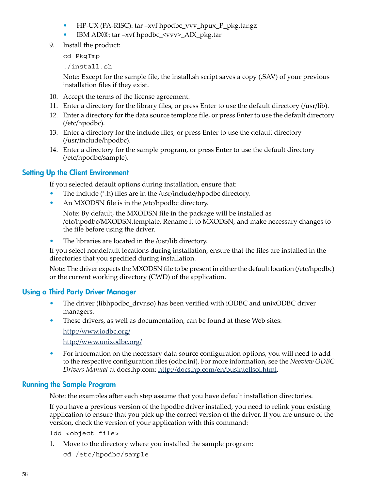- HP-UX (PA-RISC): tar –xvf hpodbc\_vvv\_hpux\_P\_pkg.tar.gz
- IBM AIX®: tar –xvf hpodbc  $\langle$ vvv> AIX pkg.tar
- 9. Install the product:

cd PkgTmp

./install.sh

Note: Except for the sample file, the install.sh script saves a copy (.SAV) of your previous installation files if they exist.

- 10. Accept the terms of the license agreement.
- 11. Enter a directory for the library files, or press Enter to use the default directory (/usr/lib).
- 12. Enter a directory for the data source template file, or press Enter to use the default directory (/etc/hpodbc).
- 13. Enter a directory for the include files, or press Enter to use the default directory (/usr/include/hpodbc).
- <span id="page-57-0"></span>14. Enter a directory for the sample program, or press Enter to use the default directory (/etc/hpodbc/sample).

### Setting Up the Client Environment

If you selected default options during installation, ensure that:

- The include (\*.h) files are in the /usr/include/hpodbc directory.
- An MXODSN file is in the /etc/hpodbc directory.

Note: By default, the MXODSN file in the package will be installed as /etc/hpodbc/MXODSN.template. Rename it to MXODSN, and make necessary changes to the file before using the driver.

• The libraries are located in the /usr/lib directory.

<span id="page-57-1"></span>If you select nondefault locations during installation, ensure that the files are installed in the directories that you specified during installation.

Note: The driver expects the MXODSN file to be present in either the default location (/etc/hpodbc) or the current working directory (CWD) of the application.

#### Using a Third Party Driver Manager

- The driver (libhpodbc drvr.so) has been verified with iODBC and unixODBC driver managers.
- These drivers, as well as documentation, can be found at these Web sites: <http://www.iodbc.org/>

<http://www.unixodbc.org/>

<span id="page-57-2"></span>• For information on the necessary data source configuration options, you will need to add to the respective configuration files (odbc.ini). For more information, see the *Neoview ODBC Drivers Manual* at docs.hp.com: [http://docs.hp.com/en/busintellsol.html.](http://docs.hp.com/en/busintellsol.html)

#### Running the Sample Program

Note: the examples after each step assume that you have default installation directories.

If you have a previous version of the hpodbc driver installed, you need to relink your existing application to ensure that you pick up the correct version of the driver. If you are unsure of the version, check the version of your application with this command:

ldd <object file>

1. Move to the directory where you installed the sample program:

cd /etc/hpodbc/sample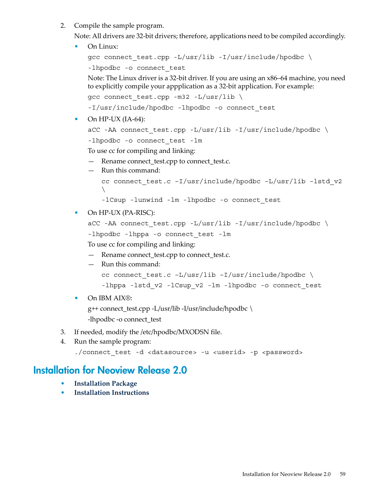2. Compile the sample program.

Note: All drivers are 32-bit drivers; therefore, applications need to be compiled accordingly.

• On Linux:

```
gcc connect_test.cpp -L/usr/lib -I/usr/include/hpodbc \
-lhpodbc -o connect test
```
Note: The Linux driver is a 32-bit driver. If you are using an x86–64 machine, you need to explicitly compile your appplication as a 32-bit application. For example:

```
gcc connect test.cpp -m32 -L/usr/lib \
```
-I/usr/include/hpodbc -lhpodbc -o connect\_test

• On  $HP-UX$  (IA-64):

```
aCC -AA connect test.cpp -L/usr/lib -I/usr/include/hpodbc \setminus
```
-lhpodbc -o connect\_test -lm

To use cc for compiling and linking:

- Rename connect\_test.cpp to connect\_test.c.
- Run this command:

```
cc connect test.c -I/usr/include/hpodbc -L/usr/lib -lstd v2
\setminus
```
-lCsup -lunwind -lm -lhpodbc -o connect\_test

```
• On HP-UX (PA-RISC):
```

```
\texttt{acc -AA} connect_test.cpp -L/usr/lib -I/usr/include/hpodbc \
-lhpodbc -lhppa -o connect test -lm
To use cc for compiling and linking:
```
- Rename connect\_test.cpp to connect\_test.c.
- Run this command:

```
cc connect_test.c –L/usr/lib –I/usr/include/hpodbc \
-lhppa -lstd v2 -lCsup v2 -lm -lhpodbc -o connect test
```
• On IBM AIX<sup>®</sup>:

g++ connect\_test.cpp -L/usr/lib -I/usr/include/hpodbc \ -lhpodbc -o connect\_test

- <span id="page-58-0"></span>3. If needed, modify the /etc/hpodbc/MXODSN file.
- 4. Run the sample program:

```
./connect_test -d <datasource> -u <userid> -p <password>
```
# Installation for Neoview Release 2.0

- **[Installation](#page-59-0) Package**
- **Installation [Instructions](#page-59-1)**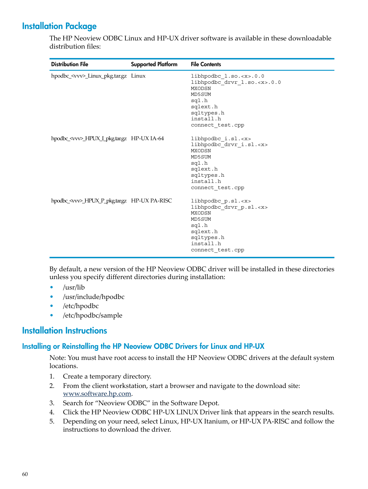# Installation Package

<span id="page-59-0"></span>The HP Neoview ODBC Linux and HP-UX driver software is available in these downloadable distribution files:

| <b>Distribution File</b>                            | <b>Supported Platform</b> | <b>File Contents</b>                                                                                                                                           |
|-----------------------------------------------------|---------------------------|----------------------------------------------------------------------------------------------------------------------------------------------------------------|
| hpodbc_ <vvv>_Linux_pkg.tar.gz Linux</vvv>          |                           | libhpodbc l.so. <x>.0.0<br/>libhpodbc drvr 1.so.<x>.0.0<br/>MXODSN<br/>MD5SUM<br/>sql.h<br/>sqlext.h<br/>sqltypes.h<br/>install.h<br/>connect test.cpp</x></x> |
| hpodbc_ <vvv>_HPUX_I_pkg.tar.gz HP-UX IA-64</vvv>   |                           | libhpodbc i.sl. <x><br/>libhpodbc drvr i.sl.<x><br/>MXODSN<br/>MD5SUM<br/>sql.h<br/>sqlext.h<br/>sqltypes.h<br/>install.h<br/>connect test.cpp</x></x>         |
| hpodbc_ <vvv>_HPUX_P_pkg.tar.gz HP-UX PA-RISC</vvv> |                           | libhpodbc p.sl. <x><br/>libhpodbc drvr p.sl.<x><br/><b>MXODSN</b><br/>MD5SUM<br/>sql.h<br/>sqlext.h<br/>sqltypes.h<br/>install.h<br/>connect test.cpp</x></x>  |

By default, a new version of the HP Neoview ODBC driver will be installed in these directories unless you specify different directories during installation:

- /usr/lib
- <span id="page-59-1"></span>• /usr/include/hpodbc
- <span id="page-59-2"></span>• /etc/hpodbc
- /etc/hpodbc/sample

### Installation Instructions

#### Installing or Reinstalling the HP Neoview ODBC Drivers for Linux and HP-UX

Note: You must have root access to install the HP Neoview ODBC drivers at the default system locations.

- 1. Create a temporary directory.
- 2. From the client workstation, start a browser and navigate to the download site: [www.software.hp.com](http://www.software.hp.com).
- 3. Search for "Neoview ODBC" in the Software Depot.
- 4. Click the HP Neoview ODBC HP-UX LINUX Driver link that appears in the search results.
- 5. Depending on your need, select Linux, HP-UX Itanium, or HP-UX PA-RISC and follow the instructions to download the driver.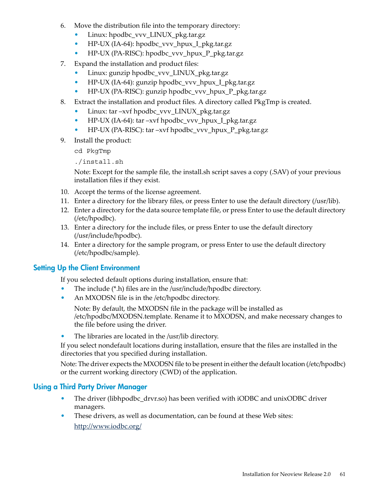- 6. Move the distribution file into the temporary directory:
	- Linux: hpodbc\_vvv\_LINUX\_pkg.tar.gz
	- HP-UX (IA-64): hpodbc\_vvv\_hpux\_I\_pkg.tar.gz
	- HP-UX (PA-RISC): hpodbc\_vvv\_hpux\_P\_pkg.tar.gz
- 7. Expand the installation and product files:
	- Linux: gunzip hpodbc\_vvv\_LINUX\_pkg.tar.gz
	- HP-UX (IA-64): gunzip hpodbc\_vvv\_hpux\_I\_pkg.tar.gz
	- HP-UX (PA-RISC): gunzip hpodbc\_vvv\_hpux\_P\_pkg.tar.gz
- 8. Extract the installation and product files. A directory called PkgTmp is created.
	- Linux: tar –xvf hpodbc\_vvv\_LINUX\_pkg.tar.gz
	- HP-UX (IA-64): tar –xvf hpodbc\_vvv\_hpux\_I\_pkg.tar.gz
	- HP-UX (PA-RISC): tar –xvf hpodbc\_vvv\_hpux\_P\_pkg.tar.gz
- 9. Install the product:

cd PkgTmp

./install.sh

Note: Except for the sample file, the install.sh script saves a copy (.SAV) of your previous installation files if they exist.

- 10. Accept the terms of the license agreement.
- 11. Enter a directory for the library files, or press Enter to use the default directory (/usr/lib).
- 12. Enter a directory for the data source template file, or press Enter to use the default directory (/etc/hpodbc).
- 13. Enter a directory for the include files, or press Enter to use the default directory (/usr/include/hpodbc).
- <span id="page-60-0"></span>14. Enter a directory for the sample program, or press Enter to use the default directory (/etc/hpodbc/sample).

#### Setting Up the Client Environment

If you selected default options during installation, ensure that:

- The include (\*.h) files are in the /usr/include/hpodbc directory.
- An MXODSN file is in the /etc/hpodbc directory.

Note: By default, the MXODSN file in the package will be installed as /etc/hpodbc/MXODSN.template. Rename it to MXODSN, and make necessary changes to the file before using the driver.

• The libraries are located in the /usr/lib directory.

<span id="page-60-1"></span>If you select nondefault locations during installation, ensure that the files are installed in the directories that you specified during installation.

Note: The driver expects the MXODSN file to be present in either the default location (/etc/hpodbc) or the current working directory (CWD) of the application.

#### Using a Third Party Driver Manager

- The driver (libhpodbc\_drvr.so) has been verified with iODBC and unixODBC driver managers.
- These drivers, as well as documentation, can be found at these Web sites: <http://www.iodbc.org/>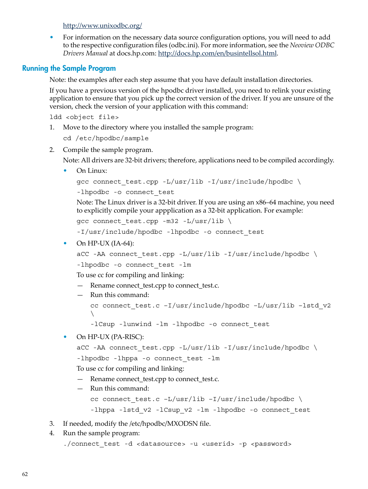<http://www.unixodbc.org/>

<span id="page-61-0"></span>• For information on the necessary data source configuration options, you will need to add to the respective configuration files (odbc.ini). For more information, see the *Neoview ODBC Drivers Manual* at docs.hp.com: [http://docs.hp.com/en/busintellsol.html.](http://docs.hp.com/en/busintellsol.html)

#### Running the Sample Program

Note: the examples after each step assume that you have default installation directories.

If you have a previous version of the hpodbc driver installed, you need to relink your existing application to ensure that you pick up the correct version of the driver. If you are unsure of the version, check the version of your application with this command:

ldd <object file>

1. Move to the directory where you installed the sample program:

cd /etc/hpodbc/sample

2. Compile the sample program.

Note: All drivers are 32-bit drivers; therefore, applications need to be compiled accordingly.

• On Linux:

```
\gamma connect test.cpp -L/usr/lib -I/usr/include/hpodbc \
```

```
-lhpodbc -o connect test
```
Note: The Linux driver is a 32-bit driver. If you are using an x86–64 machine, you need to explicitly compile your appplication as a 32-bit application. For example:

gcc connect\_test.cpp -m32 -L/usr/lib \

-I/usr/include/hpodbc -lhpodbc -o connect\_test

• On  $HP-UX(IA-64)$ :

```
\texttt{acc -AA} connect_test.cpp -L/usr/lib -I/usr/include/hpodbc \
```
-lhpodbc -o connect test -lm

To use cc for compiling and linking:

— Rename connect test.cpp to connect test.c.

— Run this command:

```
cc connect_test.c –I/usr/include/hpodbc –L/usr/lib –lstd_v2
\setminus
```
-lCsup -lunwind -lm -lhpodbc -o connect\_test

```
• On HP-UX (PA-RISC):
```

```
aCC -AA connect test.cpp -L/usr/lib -I/usr/include/hpodbc \setminus-lhpodbc -lhppa -o connect test -lm
```
To use cc for compiling and linking:

- Rename connect\_test.cpp to connect\_test.c.
- Run this command: cc connect test.c  $-L/usr/lib -I/usr/include/hpodbc \ \ \ \ \ \$ -lhppa -lstd v2 -lCsup v2 -lm -lhpodbc -o connect test
- 3. If needed, modify the /etc/hpodbc/MXODSN file.

```
4. Run the sample program:
```

```
./connect test -d <datasource> -u <userid> -p <password>
```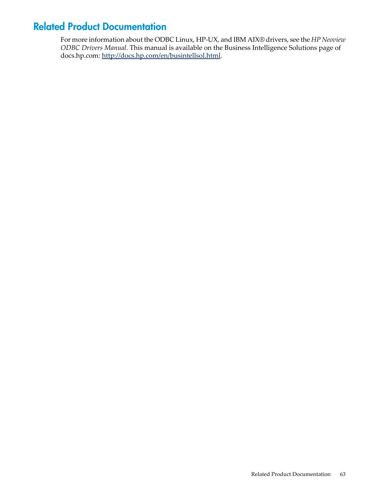# Related Product Documentation

<span id="page-62-0"></span>For more information about the ODBC Linux, HP-UX, and IBM AIX® drivers, see the *HP Neoview ODBC Drivers Manual*. This manual is available on the Business Intelligence Solutions page of docs.hp.com: <http://docs.hp.com/en/busintellsol.html>.